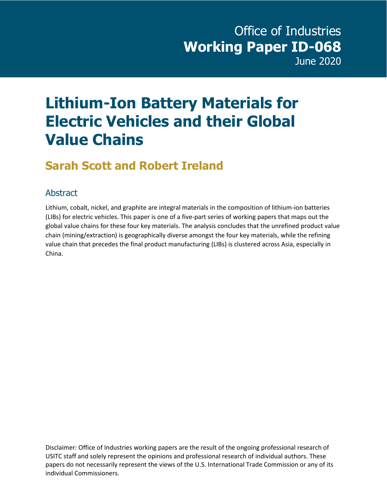## **Lithium-Ion Battery Materials for Electric Vehicles and their Global Value Chains**

### **Sarah Scott and Robert Ireland**

#### **Abstract**

Lithium, cobalt, nickel, and graphite are integral materials in the composition of lithium-ion batteries (LIBs) for electric vehicles. This paper is one of a five-part series of working papers that maps out the global value chains for these four key materials. The analysis concludes that the unrefined product value chain (mining/extraction) is geographically diverse amongst the four key materials, while the refining value chain that precedes the final product manufacturing (LIBs) is clustered across Asia, especially in China.

Disclaimer: Office of Industries working papers are the result of the ongoing professional research of USITC staff and solely represent the opinions and professional research of individual authors. These papers do not necessarily represent the views of the U.S. International Trade Commission or any of its individual Commissioners.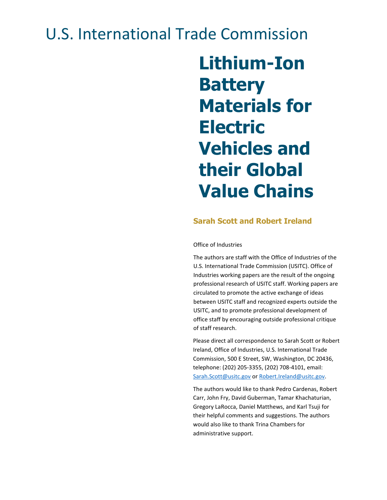## U.S. International Trade Commission

# **Lithium-Ion Battery Materials for Electric Vehicles and their Global Value Chains**

#### **Sarah Scott and Robert Ireland**

#### Office of Industries

The authors are staff with the Office of Industries of the U.S. International Trade Commission (USITC). Office of Industries working papers are the result of the ongoing professional research of USITC staff. Working papers are circulated to promote the active exchange of ideas between USITC staff and recognized experts outside the USITC, and to promote professional development of office staff by encouraging outside professional critique of staff research.

Please direct all correspondence to Sarah Scott or Robert Ireland, Office of Industries, U.S. International Trade Commission, 500 E Street, SW, Washington, DC 20436, telephone: (202) 205-3355, (202) 708-4101, email: [Sarah.Scott@usitc.gov](mailto:Sarah.Scott@usitc.gov) or [Robert.Ireland@usitc.gov.](mailto:Robert.Ireland@usitc.gov)

The authors would like to thank Pedro Cardenas, Robert Carr, John Fry, David Guberman, Tamar Khachaturian, Gregory LaRocca, Daniel Matthews, and Karl Tsuji for their helpful comments and suggestions. The authors would also like to thank Trina Chambers for administrative support.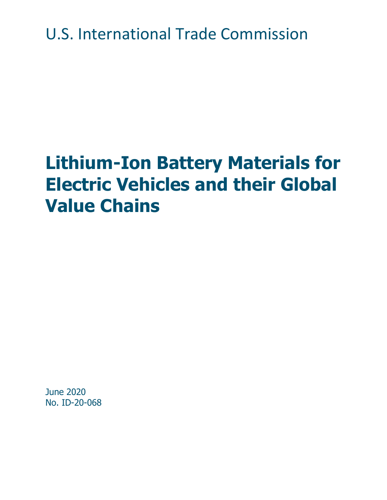U.S. International Trade Commission

# **Lithium-Ion Battery Materials for Electric Vehicles and their Global Value Chains**

June 2020 No. ID-20-068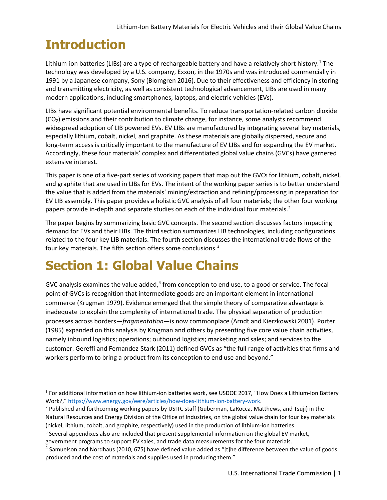### **Introduction**

Lithium-ion batteries (LIBs) are a type of rechargeable battery and have a relatively short history.<sup>[1](#page-4-0)</sup> The technology was developed by a U.S. company, Exxon, in the 1970s and was introduced commercially in 1991 by a Japanese company, Sony (Blomgren 2016). Due to their effectiveness and efficiency in storing and transmitting electricity, as well as consistent technological advancement, LIBs are used in many modern applications, including smartphones, laptops, and electric vehicles (EVs).

LIBs have significant potential environmental benefits. To reduce transportation-related carbon dioxide (CO2) emissions and their contribution to climate change, for instance, some analysts recommend widespread adoption of LIB powered EVs. EV LIBs are manufactured by integrating several key materials, especially lithium, cobalt, nickel, and graphite. As these materials are globally dispersed, secure and long-term access is critically important to the manufacture of EV LIBs and for expanding the EV market. Accordingly, these four materials' complex and differentiated global value chains (GVCs) have garnered extensive interest.

This paper is one of a five-part series of working papers that map out the GVCs for lithium, cobalt, nickel, and graphite that are used in LIBs for EVs. The intent of the working paper series is to better understand the value that is added from the materials' mining/extraction and refining/processing in preparation for EV LIB assembly. This paper provides a holistic GVC analysis of all four materials; the other four working papers provide in-depth and separate studies on each of the individual four materials.<sup>[2](#page-4-1)</sup>

The paper begins by summarizing basic GVC concepts. The second section discusses factors impacting demand for EVs and their LIBs. The third section summarizes LIB technologies, including configurations related to the four key LIB materials. The fourth section discusses the international trade flows of the four key materials. The fifth section offers some conclusions.<sup>[3](#page-4-2)</sup>

### **Section 1: Global Value Chains**

GVC analysis examines the value added, $4$  from conception to end use, to a good or service. The focal point of GVCs is recognition that intermediate goods are an important element in international commerce (Krugman 1979). Evidence emerged that the simple theory of comparative advantage is inadequate to explain the complexity of international trade. The physical separation of production processes across borders—*fragmentation*—is now commonplace (Arndt and Kierzkowski 2001). Porter (1985) expanded on this analysis by Krugman and others by presenting five core value chain activities, namely inbound logistics; operations; outbound logistics; marketing and sales; and services to the customer. Gereffi and Fernandez-Stark (2011) defined GVCs as "the full range of activities that firms and workers perform to bring a product from its conception to end use and beyond."

<span id="page-4-0"></span><sup>1</sup> For additional information on how lithium-ion batteries work, see USDOE 2017, "How Does a Lithium-Ion Battery Work?," [https://www.energy.gov/eere/articles/how-does-lithium-ion-battery-work.](https://www.energy.gov/eere/articles/how-does-lithium-ion-battery-work)<br><sup>2</sup> Published and forthcoming working papers by USITC staff (Guberman, LaRocca, Matthews, and Tsuji) in the

<span id="page-4-1"></span>Natural Resources and Energy Division of the Office of Industries, on the global value chain for four key materials (nickel, lithium, cobalt, and graphite, respectively) used in the production of lithium-ion batteries.

<span id="page-4-2"></span><sup>&</sup>lt;sup>3</sup> Several appendixes also are included that present supplemental information on the global EV market, government programs to support EV sales, and trade data measurements for the four materials.

<span id="page-4-3"></span> $4$  Samuelson and Nordhaus (2010, 675) have defined value added as "[t]he difference between the value of goods produced and the cost of materials and supplies used in producing them."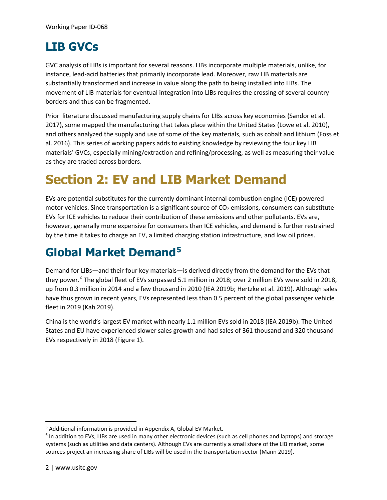### **LIB GVCs**

GVC analysis of LIBs is important for several reasons. LIBs incorporate multiple materials, unlike, for instance, lead-acid batteries that primarily incorporate lead. Moreover, raw LIB materials are substantially transformed and increase in value along the path to being installed into LIBs. The movement of LIB materials for eventual integration into LIBs requires the crossing of several country borders and thus can be fragmented.

Prior literature discussed manufacturing supply chains for LIBs across key economies (Sandor et al. 2017), some mapped the manufacturing that takes place within the United States (Lowe et al. 2010), and others analyzed the supply and use of some of the key materials, such as cobalt and lithium (Foss et al. 2016). This series of working papers adds to existing knowledge by reviewing the four key LIB materials' GVCs, especially mining/extraction and refining/processing, as well as measuring their value as they are traded across borders.

### **Section 2: EV and LIB Market Demand**

EVs are potential substitutes for the currently dominant internal combustion engine (ICE) powered motor vehicles. Since transportation is a significant source of  $CO<sub>2</sub>$  emissions, consumers can substitute EVs for ICE vehicles to reduce their contribution of these emissions and other pollutants. EVs are, however, generally more expensive for consumers than ICE vehicles, and demand is further restrained by the time it takes to charge an EV, a limited charging station infrastructure, and low oil prices.

### **Global Market Demand[5](#page-5-0)**

Demand for LIBs—and their four key materials—is derived directly from the demand for the EVs that they power.<sup>6</sup> The global fleet of EVs surpassed 5.1 million in 2018; over 2 million EVs were sold in 2018, up from 0.3 million in 2014 and a few thousand in 2010 (IEA 2019b; Hertzke et al. 2019). Although sales have thus grown in recent years, EVs represented less than 0.5 percent of the global passenger vehicle fleet in 2019 (Kah 2019).

China is the world's largest EV market with nearly 1.1 million EVs sold in 2018 (IEA 2019b). The United States and EU have experienced slower sales growth and had sales of 361 thousand and 320 thousand EVs respectively in 2018 (Figure 1).

<span id="page-5-0"></span><sup>5</sup> Additional information is provided in Appendix A, Global EV Market.

<span id="page-5-1"></span><sup>&</sup>lt;sup>6</sup> In addition to EVs, LIBs are used in many other electronic devices (such as cell phones and laptops) and storage systems (such as utilities and data centers). Although EVs are currently a small share of the LIB market, some sources project an increasing share of LIBs will be used in the transportation sector (Mann 2019).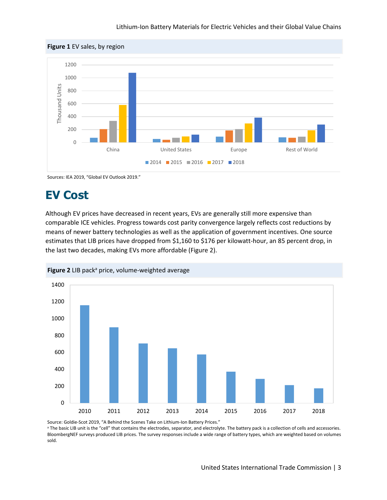#### Lithium-Ion Battery Materials for Electric Vehicles and their Global Value Chains



Sources: IEA 2019, "Global EV Outlook 2019."

#### **EV Cost**

Although EV prices have decreased in recent years, EVs are generally still more expensive than comparable ICE vehicles. Progress towards cost parity convergence largely reflects cost reductions by means of newer battery technologies as well as the application of government incentives. One source estimates that LIB prices have dropped from \$1,160 to \$176 per kilowatt-hour, an 85 percent drop, in the last two decades, making EVs more affordable (Figure 2).





Source: Goldie-Scot 2019, "A Behind the Scenes Take on Lithium-Ion Battery Prices."<br><sup>a</sup> The basic LIB unit is the "cell" that contains the electrodes, separator, and electrolyte. The battery pack is a collection of cells a BloombergNEF surveys produced LIB prices. The survey responses include a wide range of battery types, which are weighted based on volumes sold.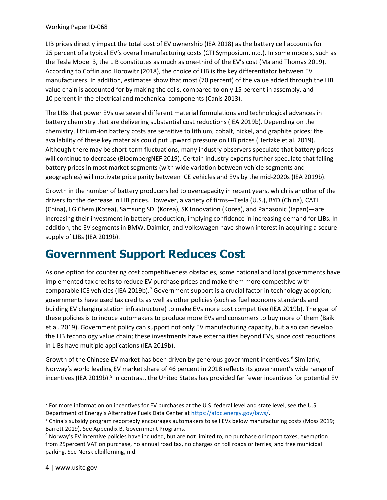#### Working Paper ID-068

LIB prices directly impact the total cost of EV ownership (IEA 2018) as the battery cell accounts for 25 percent of a typical EV's overall manufacturing costs (CTI Symposium, n.d.). In some models, such as the Tesla Model 3, the LIB constitutes as much as one-third of the EV's cost (Ma and Thomas 2019). According to Coffin and Horowitz (2018), the choice of LIB is the key differentiator between EV manufacturers. In addition, estimates show that most (70 percent) of the value added through the LIB value chain is accounted for by making the cells, compared to only 15 percent in assembly, and 10 percent in the electrical and mechanical components (Canis 2013).

The LIBs that power EVs use several different material formulations and technological advances in battery chemistry that are delivering substantial cost reductions (IEA 2019b). Depending on the chemistry, lithium-ion battery costs are sensitive to lithium, cobalt, nickel, and graphite prices; the availability of these key materials could put upward pressure on LIB prices (Hertzke et al. 2019). Although there may be short-term fluctuations, many industry observers speculate that battery prices will continue to decrease (BloombergNEF 2019). Certain industry experts further speculate that falling battery prices in most market segments (with wide variation between vehicle segments and geographies) will motivate price parity between ICE vehicles and EVs by the mid-2020s (IEA 2019b).

Growth in the number of battery producers led to overcapacity in recent years, which is another of the drivers for the decrease in LIB prices. However, a variety of firms—Tesla (U.S.), BYD (China), CATL (China), LG Chem (Korea), Samsung SDI (Korea), SK Innovation (Korea), and Panasonic (Japan)—are increasing their investment in battery production, implying confidence in increasing demand for LIBs. In addition, the EV segments in BMW, Daimler, and Volkswagen have shown interest in acquiring a secure supply of LIBs (IEA 2019b).

#### **Government Support Reduces Cost**

As one option for countering cost competitiveness obstacles, some national and local governments have implemented tax credits to reduce EV purchase prices and make them more competitive with comparable ICE vehicles (IEA 2019b).<sup>7</sup> Government support is a crucial factor in technology adoption; governments have used tax credits as well as other policies (such as fuel economy standards and building EV charging station infrastructure) to make EVs more cost competitive (IEA 2019b). The goal of these policies is to induce automakers to produce more EVs and consumers to buy more of them (Baik et al. 2019). Government policy can support not only EV manufacturing capacity, but also can develop the LIB technology value chain; these investments have externalities beyond EVs, since cost reductions in LIBs have multiple applications (IEA 2019b).

Growth of the Chinese EV market has been driven by generous government incentives.<sup>8</sup> Similarly, Norway's world leading EV market share of 46 percent in 2018 reflects its government's wide range of incentives (IEA 201[9](#page-7-2)b).<sup>9</sup> In contrast, the United States has provided far fewer incentives for potential EV

<span id="page-7-0"></span> $7$  For more information on incentives for EV purchases at the U.S. federal level and state level, see the U.S. Department of Energy's Alternative Fuels Data Center at [https://afdc.energy.gov/laws/.](https://afdc.energy.gov/laws/)

<span id="page-7-1"></span><sup>8</sup> China's subsidy program reportedly encourages automakers to sell EVs below manufacturing costs (Moss 2019; Barrett 2019). See Appendix B, Government Programs.

<span id="page-7-2"></span><sup>9</sup> Norway's EV incentive policies have included, but are not limited to, no purchase or import taxes, exemption from 25percent VAT on purchase, no annual road tax, no charges on toll roads or ferries, and free municipal parking. See Norsk elbilforning, n.d.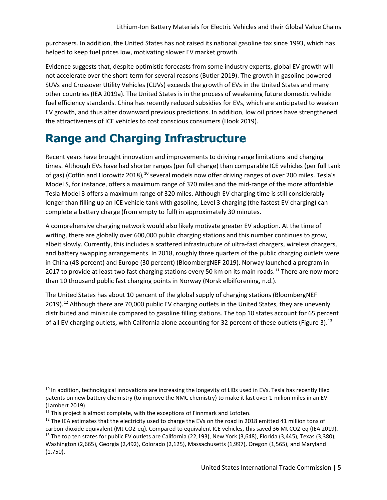purchasers. In addition, the United States has not raised its national gasoline tax since 1993, which has helped to keep fuel prices low, motivating slower EV market growth.

Evidence suggests that, despite optimistic forecasts from some industry experts, global EV growth will not accelerate over the short-term for several reasons (Butler 2019). The growth in gasoline powered SUVs and Crossover Utility Vehicles (CUVs) exceeds the growth of EVs in the United States and many other countries (IEA 2019a). The United States is in the process of weakening future domestic vehicle fuel efficiency standards. China has recently reduced subsidies for EVs, which are anticipated to weaken EV growth, and thus alter downward previous predictions. In addition, low oil prices have strengthened the attractiveness of ICE vehicles to cost conscious consumers (Hook 2019).

### **Range and Charging Infrastructure**

Recent years have brought innovation and improvements to driving range limitations and charging times. Although EVs have had shorter ranges (per full charge) than comparable ICE vehicles (per full tank of gas) (Coffin and Horowitz 2018),<sup>[10](#page-8-0)</sup> several models now offer driving ranges of over 200 miles. Tesla's Model S, for instance, offers a maximum range of 370 miles and the mid-range of the more affordable Tesla Model 3 offers a maximum range of 320 miles. Although EV charging time is still considerably longer than filling up an ICE vehicle tank with gasoline, Level 3 charging (the fastest EV charging) can complete a battery charge (from empty to full) in approximately 30 minutes.

A comprehensive charging network would also likely motivate greater EV adoption. At the time of writing, there are globally over 600,000 public charging stations and this number continues to grow, albeit slowly. Currently, this includes a scattered infrastructure of ultra-fast chargers, wireless chargers, and battery swapping arrangements. In 2018, roughly three quarters of the public charging outlets were in China (48 percent) and Europe (30 percent) (BloombergNEF 2019). Norway launched a program in 2017 to provide at least two fast charging stations every 50 km on its main roads.<sup>[11](#page-8-1)</sup> There are now more than 10 thousand public fast charging points in Norway (Norsk elbilforening, n.d.).

The United States has about 10 percent of the global supply of charging stations (BloombergNEF 2019).<sup>[12](#page-8-2)</sup> Although there are 70,000 public EV charging outlets in the United States, they are unevenly distributed and miniscule compared to gasoline filling stations. The top 10 states account for 65 percent of all EV charging outlets, with California alone accounting for 32 percent of these outlets (Figure 3).<sup>[13](#page-8-3)</sup>

<span id="page-8-0"></span> $10$  In addition, technological innovations are increasing the longevity of LIBs used in EVs. Tesla has recently filed patents on new battery chemistry (to improve the NMC chemistry) to make it last over 1-milion miles in an EV (Lambert 2019).

<span id="page-8-1"></span><sup>&</sup>lt;sup>11</sup> This project is almost complete, with the exceptions of Finnmark and Lofoten.

<span id="page-8-3"></span><span id="page-8-2"></span> $12$  The IEA estimates that the electricity used to charge the EVs on the road in 2018 emitted 41 million tons of carbon-dioxide equivalent (Mt CO2-eq). Compared to equivalent ICE vehicles, this saved 36 Mt CO2-eq (IEA 2019). <sup>13</sup> The top ten states for public EV outlets are California (22,193), New York (3,648), Florida (3,445), Texas (3,380), Washington (2,665), Georgia (2,492), Colorado (2,125), Massachusetts (1,997), Oregon (1,565), and Maryland (1,750).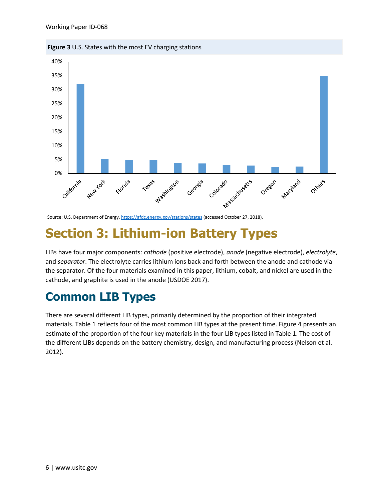



### **Section 3: Lithium-ion Battery Types**

LIBs have four major components: *cathode* (positive electrode), *anode* (negative electrode), *electrolyte*, and *separator*. The electrolyte carries lithium ions back and forth between the anode and cathode via the separator. Of the four materials examined in this paper, lithium, cobalt, and nickel are used in the cathode, and graphite is used in the anode (USDOE 2017).

### **Common LIB Types**

There are several different LIB types, primarily determined by the proportion of their integrated materials. Table 1 reflects four of the most common LIB types at the present time. Figure 4 presents an estimate of the proportion of the four key materials in the four LIB types listed in Table 1. The cost of the different LIBs depends on the battery chemistry, design, and manufacturing process (Nelson et al. 2012).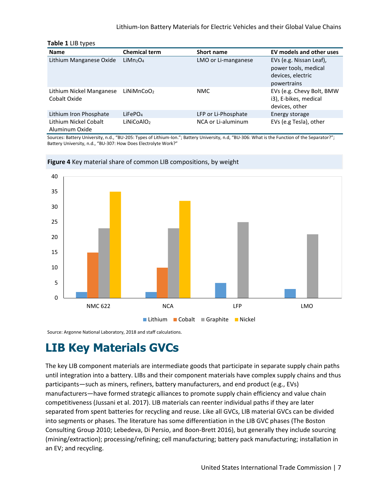#### Lithium-Ion Battery Materials for Electric Vehicles and their Global Value Chains

#### **Table 1** LIB types

| <b>Name</b>                              | <b>Chemical term</b>             | <b>Short name</b>   | EV models and other uses                                             |
|------------------------------------------|----------------------------------|---------------------|----------------------------------------------------------------------|
| Lithium Manganese Oxide                  | LiMn <sub>2</sub> O <sub>4</sub> | LMO or Li-manganese | EVs (e.g. Nissan Leaf),<br>power tools, medical<br>devices, electric |
|                                          |                                  |                     | powertrains                                                          |
| Lithium Nickel Manganese<br>Cobalt Oxide | LiNiMnCoO <sub>2</sub>           | NMC                 | EVs (e.g. Chevy Bolt, BMW<br>i3), E-bikes, medical<br>devices, other |
| Lithium Iron Phosphate                   | LiFePO <sub>4</sub>              | LFP or Li-Phosphate | Energy storage                                                       |
| Lithium Nickel Cobalt<br>Aluminum Oxide  | LiNiCoAlO <sub>2</sub>           | NCA or Li-aluminum  | EVs (e.g Tesla), other                                               |

Sources: Battery University, n.d., "BU-205: Types of Lithium-Ion."; Battery University, n.d, "BU-306: What is the Function of the Separator?"; Battery University, n.d., "BU-307: How Does Electrolyte Work?"





Source: Argonne National Laboratory, 2018 and staff calculations.

#### **LIB Key Materials GVCs**

The key LIB component materials are intermediate goods that participate in separate supply chain paths until integration into a battery. LIBs and their component materials have complex supply chains and thus participants—such as miners, refiners, battery manufacturers, and end product (e.g., EVs) manufacturers—have formed strategic alliances to promote supply chain efficiency and value chain competitiveness (Jussani et al. 2017). LIB materials can reenter individual paths if they are later separated from spent batteries for recycling and reuse. Like all GVCs, LIB material GVCs can be divided into segments or phases. The literature has some differentiation in the LIB GVC phases (The Boston Consulting Group 2010; Lebedeva, Di Persio, and Boon-Brett 2016), but generally they include sourcing (mining/extraction); processing/refining; cell manufacturing; battery pack manufacturing; installation in an EV; and recycling.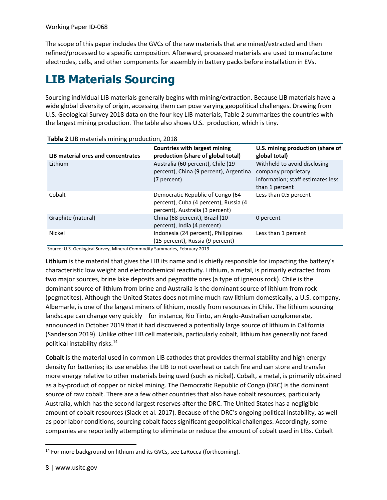Working Paper ID-068

The scope of this paper includes the GVCs of the raw materials that are mined/extracted and then refined/processed to a specific composition. Afterward, processed materials are used to manufacture electrodes, cells, and other components for assembly in battery packs before installation in EVs.

### **LIB Materials Sourcing**

Sourcing individual LIB materials generally begins with mining/extraction. Because LIB materials have a wide global diversity of origin, accessing them can pose varying geopolitical challenges. Drawing from U.S. Geological Survey 2018 data on the four key LIB materials, Table 2 summarizes the countries with the largest mining production. The table also shows U.S. production, which is tiny.

| LIB material ores and concentrates | <b>Countries with largest mining</b><br>production (share of global total)                                   | U.S. mining production (share of<br>global total)                                                          |
|------------------------------------|--------------------------------------------------------------------------------------------------------------|------------------------------------------------------------------------------------------------------------|
| Lithium                            | Australia (60 percent), Chile (19<br>percent), China (9 percent), Argentina<br>(7 percent)                   | Withheld to avoid disclosing<br>company proprietary<br>information; staff estimates less<br>than 1 percent |
| Cobalt                             | Democratic Republic of Congo (64<br>percent), Cuba (4 percent), Russia (4<br>percent), Australia (3 percent) | Less than 0.5 percent                                                                                      |
| Graphite (natural)                 | China (68 percent), Brazil (10<br>percent), India (4 percent)                                                | 0 percent                                                                                                  |
| Nickel                             | Indonesia (24 percent), Philippines<br>(15 percent), Russia (9 percent)                                      | Less than 1 percent                                                                                        |

Source: U.S. Geological Survey, Mineral Commodity Summaries, February 2019.

**Lithium** is the material that gives the LIB its name and is chiefly responsible for impacting the battery's characteristic low weight and electrochemical reactivity. Lithium, a metal, is primarily extracted from two major sources, brine lake deposits and pegmatite ores (a type of igneous rock). Chile is the dominant source of lithium from brine and Australia is the dominant source of lithium from rock (pegmatites). Although the United States does not mine much raw lithium domestically, a U.S. company, Albemarle, is one of the largest miners of lithium, mostly from resources in Chile. The lithium sourcing landscape can change very quickly—for instance, Rio Tinto, an Anglo-Australian conglomerate, announced in October 2019 that it had discovered a potentially large source of lithium in California (Sanderson 2019). Unlike other LIB cell materials, particularly cobalt, lithium has generally not faced political instability risks. [14](#page-11-0)

**Cobalt** is the material used in common LIB cathodes that provides thermal stability and high energy density for batteries; its use enables the LIB to not overheat or catch fire and can store and transfer more energy relative to other materials being used (such as nickel). Cobalt, a metal, is primarily obtained as a by-product of copper or nickel mining. The Democratic Republic of Congo (DRC) is the dominant source of raw cobalt. There are a few other countries that also have cobalt resources, particularly Australia, which has the second largest reserves after the DRC. The United States has a negligible amount of cobalt resources (Slack et al. 2017). Because of the DRC's ongoing political instability, as well as poor labor conditions, sourcing cobalt faces significant geopolitical challenges. Accordingly, some companies are reportedly attempting to eliminate or reduce the amount of cobalt used in LIBs. Cobalt

<span id="page-11-0"></span><sup>&</sup>lt;sup>14</sup> For more background on lithium and its GVCs, see LaRocca (forthcoming).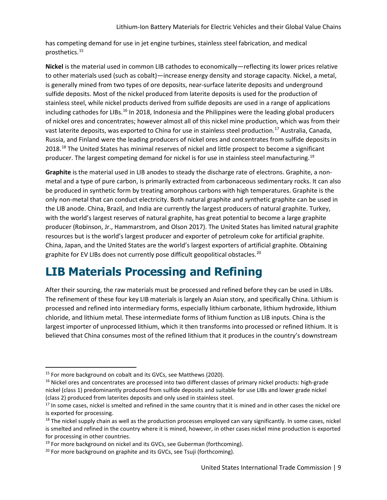has competing demand for use in jet engine turbines, stainless steel fabrication, and medical prosthetics.[15](#page-12-0)

**Nickel** is the material used in common LIB cathodes to economically—reflecting its lower prices relative to other materials used (such as cobalt)—increase energy density and storage capacity. Nickel, a metal, is generally mined from two types of ore deposits, near-surface laterite deposits and underground sulfide deposits. Most of the nickel produced from laterite deposits is used for the production of stainless steel, while nickel products derived from sulfide deposits are used in a range of applications including cathodes for LIBs.<sup>[16](#page-12-1)</sup> In 2018, Indonesia and the Philippines were the leading global producers of nickel ores and concentrates; however almost all of this nickel mine production, which was from their vast laterite deposits, was exported to China for use in stainless steel production.[17](#page-12-2) Australia, Canada, Russia, and Finland were the leading producers of nickel ores and concentrates from sulfide deposits in 20[18](#page-12-3).<sup>18</sup> The United States has minimal reserves of nickel and little prospect to become a significant producer. The largest competing demand for nickel is for use in stainless steel manufacturing.<sup>[19](#page-12-4)</sup>

**Graphite** is the material used in LIB anodes to steady the discharge rate of electrons. Graphite, a nonmetal and a type of pure carbon, is primarily extracted from carbonaceous sedimentary rocks. It can also be produced in synthetic form by treating amorphous carbons with high temperatures. Graphite is the only non-metal that can conduct electricity. Both natural graphite and synthetic graphite can be used in the LIB anode. China, Brazil, and India are currently the largest producers of natural graphite. Turkey, with the world's largest reserves of natural graphite, has great potential to become a large graphite producer (Robinson, Jr., Hammarstrom, and Olson 2017). The United States has limited natural graphite resources but is the world's largest producer and exporter of petroleum coke for artificial graphite. China, Japan, and the United States are the world's largest exporters of artificial graphite. Obtaining graphite for EV LIBs does not currently pose difficult geopolitical obstacles.<sup>[20](#page-12-5)</sup>

### **LIB Materials Processing and Refining**

After their sourcing, the raw materials must be processed and refined before they can be used in LIBs. The refinement of these four key LIB materials is largely an Asian story, and specifically China. Lithium is processed and refined into intermediary forms, especially lithium carbonate, lithium hydroxide, lithium chloride, and lithium metal. These intermediate forms of lithium function as LIB inputs. China is the largest importer of unprocessed lithium, which it then transforms into processed or refined lithium. It is believed that China consumes most of the refined lithium that it produces in the country's downstream

<span id="page-12-0"></span><sup>&</sup>lt;sup>15</sup> For more background on cobalt and its GVCs, see Matthews (2020).

<span id="page-12-1"></span><sup>&</sup>lt;sup>16</sup> Nickel ores and concentrates are processed into two different classes of primary nickel products: high-grade nickel (class 1) predominantly produced from sulfide deposits and suitable for use LIBs and lower grade nickel (class 2) produced from laterites deposits and only used in stainless steel.

<span id="page-12-2"></span><sup>&</sup>lt;sup>17</sup> In some cases, nickel is smelted and refined in the same country that it is mined and in other cases the nickel ore is exported for processing.

<span id="page-12-3"></span> $18$  The nickel supply chain as well as the production processes employed can vary significantly. In some cases, nickel is smelted and refined in the country where it is mined, however, in other cases nickel mine production is exported for processing in other countries.

<span id="page-12-4"></span><sup>&</sup>lt;sup>19</sup> For more background on nickel and its GVCs, see Guberman (forthcoming).

<span id="page-12-5"></span><sup>&</sup>lt;sup>20</sup> For more background on graphite and its GVCs, see Tsuji (forthcoming).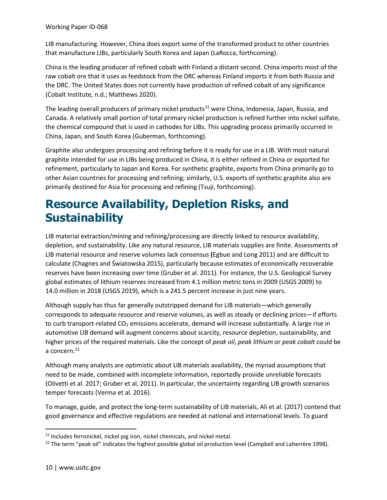LIB manufacturing. However, China does export some of the transformed product to other countries that manufacture LIBs, particularly South Korea and Japan (LaRocca, forthcoming).

China is the leading producer of refined cobalt with Finland a distant second. China imports most of the raw cobalt ore that it uses as feedstock from the DRC whereas Finland imports it from both Russia and the DRC. The United States does not currently have production of refined cobalt of any significance (Cobalt Institute, n.d.; Matthews 2020).

The leading overall producers of primary nickel products<sup>[21](#page-13-0)</sup> were China, Indonesia, Japan, Russia, and Canada. A relatively small portion of total primary nickel production is refined further into nickel sulfate, the chemical compound that is used in cathodes for LIBs. This upgrading process primarily occurred in China, Japan, and South Korea (Guberman, forthcoming).

Graphite also undergoes processing and refining before it is ready for use in a LIB. With most natural graphite intended for use in LIBs being produced in China, it is either refined in China or exported for refinement, particularly to Japan and Korea. For synthetic graphite, exports from China primarily go to other Asian countries for processing and refining; similarly, U.S. exports of synthetic graphite also are primarily destined for Asia for processing and refining (Tsuji, forthcoming).

#### **Resource Availability, Depletion Risks, and Sustainability**

LIB material extraction/mining and refining/processing are directly linked to resource availability, depletion, and sustainability. Like any natural resource, LIB materials supplies are finite. Assessments of LIB material resource and reserve volumes lack consensus **(**Egbue and Long 2011) and are difficult to calculate (Chagnes and Światowska 2015), particularly because estimates of economically recoverable reserves have been increasing over time (Gruber et al. 2011). For instance, the U.S. Geological Survey global estimates of lithium reserves increased from 4.1 million metric tons in 2009 (USGS 2009) to 14.0 million in 2018 (USGS 2019), which is a 241.5 percent increase in just nine years.

Although supply has thus far generally outstripped demand for LIB materials—which generally corresponds to adequate resource and reserve volumes, as well as steady or declining prices—if efforts to curb transport-related  $CO<sub>2</sub>$  emissions accelerate, demand will increase substantially. A large rise in automotive LIB demand will augment concerns about scarcity, resource depletion, sustainability, and higher prices of the required materials. Like the concept of *peak oil*, *peak lithium* or *peak cobalt* could be a concern.<sup>[22](#page-13-1)</sup>

Although many analysts are optimistic about LIB materials availability, the myriad assumptions that need to be made, combined with incomplete information, reportedly provide unreliable forecasts (Olivetti et al. 2017; Gruber et al. 2011). In particular, the uncertainty regarding LIB growth scenarios temper forecasts (Verma et al. 2016).

To manage, guide, and protect the long-term sustainability of LIB materials, Ali et al. (2017) contend that good governance and effective regulations are needed at national and international levels. To guard

<span id="page-13-0"></span><sup>&</sup>lt;sup>21</sup> Includes ferronickel, nickel pig iron, nickel chemicals, and nickel metal.

<span id="page-13-1"></span> $22$  The term "peak oil" indicates the highest possible global oil production level (Campbell and Laherrère 1998).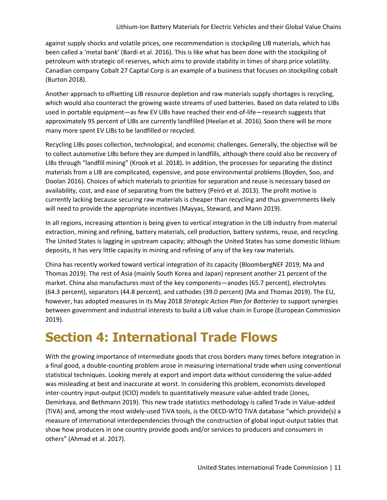against supply shocks and volatile prices, one recommendation is stockpiling LIB materials, which has been called a 'metal bank' (Bardi et al. 2016). This is like what has been done with the stockpiling of petroleum with strategic oil reserves, which aims to provide stability in times of sharp price volatility. Canadian company Cobalt 27 Capital Corp is an example of a business that focuses on stockpiling cobalt (Burton 2018).

Another approach to offsetting LIB resource depletion and raw materials supply shortages is recycling, which would also counteract the growing waste streams of used batteries. Based on data related to LIBs used in portable equipment—as few EV LIBs have reached their end-of-life—research suggests that approximately 95 percent of LIBs are currently landfilled (Heelan et al. 2016). Soon there will be more many more spent EV LIBs to be landfilled or recycled.

Recycling LIBs poses collection, technological, and economic challenges. Generally, the objective will be to collect automotive LIBs before they are dumped in landfills, although there could also be recovery of LIBs through "landfill mining" (Krook et al. 2018)**.** In addition, the processes for separating the distinct materials from a LIB are complicated, expensive, and pose environmental problems (Boyden, Soo, and Doolan 2016). Choices of which materials to prioritize for separation and reuse is necessary based on availability, cost, and ease of separating from the battery (Peiró et al. 2013). The profit motive is currently lacking because securing raw materials is cheaper than recycling and thus governments likely will need to provide the appropriate incentives (Mayyas, Steward, and Mann 2019).

In all regions, increasing attention is being given to vertical integration in the LIB industry from material extraction, mining and refining, battery materials, cell production, battery systems, reuse, and recycling. The United States is lagging in upstream capacity; although the United States has some domestic lithium deposits, it has very little capacity in mining and refining of any of the key raw materials.

China has recently worked toward vertical integration of its capacity (BloombergNEF 2019; Ma and Thomas 2019). The rest of Asia (mainly South Korea and Japan) represent another 21 percent of the market. China also manufactures most of the key components—anodes (65.7 percent), electrolytes (64.3 percent), separators (44.8 percent), and cathodes (39.0 percent) (Ma and Thomas 2019). The EU, however, has adopted measures in its May 2018 *Strategic Action Plan for Batteries* to support synergies between government and industrial interests to build a LIB value chain in Europe (European Commission 2019).

### **Section 4: International Trade Flows**

With the growing importance of intermediate goods that cross borders many times before integration in a final good, a double-counting problem arose in measuring international trade when using conventional statistical techniques. Looking merely at export and import data without considering the value-added was misleading at best and inaccurate at worst. In considering this problem, economists developed inter-country input-output (ICIO) models to quantitatively measure value-added trade (Jones, Demirkaya, and Bethmann 2019). This new trade statistics methodology is called Trade in Value-added (TiVA) and, among the most widely-used TiVA tools, is the OECD-WTO TiVA database "which provide(s) a measure of international interdependencies through the construction of global input-output tables that show how producers in one country provide goods and/or services to producers and consumers in others" (Ahmad et al. 2017).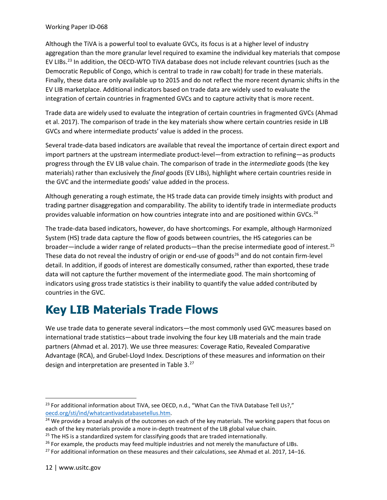#### Working Paper ID-068

Although the TiVA is a powerful tool to evaluate GVCs, its focus is at a higher level of industry aggregation than the more granular level required to examine the individual key materials that compose EV LIBs.<sup>[23](#page-15-0)</sup> In addition, the OECD-WTO TiVA database does not include relevant countries (such as the Democratic Republic of Congo, which is central to trade in raw cobalt) for trade in these materials. Finally, these data are only available up to 2015 and do not reflect the more recent dynamic shifts in the EV LIB marketplace. Additional indicators based on trade data are widely used to evaluate the integration of certain countries in fragmented GVCs and to capture activity that is more recent.

Trade data are widely used to evaluate the integration of certain countries in fragmented GVCs (Ahmad et al. 2017). The comparison of trade in the key materials show where certain countries reside in LIB GVCs and where intermediate products' value is added in the process.

Several trade-data based indicators are available that reveal the importance of certain direct export and import partners at the upstream intermediate product-level—from extraction to refining—as products progress through the EV LIB value chain. The comparison of trade in the *intermediate* goods (the key materials) rather than exclusively the *final* goods (EV LIBs), highlight where certain countries reside in the GVC and the intermediate goods' value added in the process.

Although generating a rough estimate, the HS trade data can provide timely insights with product and trading partner disaggregation and comparability. The ability to identify trade in intermediate products provides valuable information on how countries integrate into and are positioned within GVCs.<sup>[24](#page-15-1)</sup>

The trade-data based indicators, however, do have shortcomings. For example, although Harmonized System (HS) trade data capture the flow of goods between countries, the HS categories can be broader—include a wider range of related products—than the precise intermediate good of interest.<sup>[25](#page-15-2)</sup> These data do not reveal the industry of origin or end-use of goods<sup>[26](#page-15-3)</sup> and do not contain firm-level detail. In addition, if goods of interest are domestically consumed, rather than exported, these trade data will not capture the further movement of the intermediate good. The main shortcoming of indicators using gross trade statistics is their inability to quantify the value added contributed by countries in the GVC.

### **Key LIB Materials Trade Flows**

We use trade data to generate several indicators—the most commonly used GVC measures based on international trade statistics—about trade involving the four key LIB materials and the main trade partners (Ahmad et al. 2017). We use three measures: Coverage Ratio, Revealed Comparative Advantage (RCA), and Grubel-Lloyd Index. Descriptions of these measures and information on their design and interpretation are presented in Table 3.<sup>[27](#page-15-4)</sup>

<span id="page-15-0"></span> $^{23}$  For additional information about TiVA, see OECD, n.d., "What Can the TiVA Database Tell Us?," oecd.org/sti/ind/whatcantivadatabasetellus.htm.

<span id="page-15-1"></span> $24$  We provide a broad analysis of the outcomes on each of the key materials. The working papers that focus on each of the key materials provide a more in-depth treatment of the LIB global value chain.

<span id="page-15-2"></span> $25$  The HS is a standardized system for classifying goods that are traded internationally.

<span id="page-15-3"></span> $26$  For example, the products may feed multiple industries and not merely the manufacture of LIBs.

<span id="page-15-4"></span> $27$  For additional information on these measures and their calculations, see Ahmad et al. 2017, 14–16.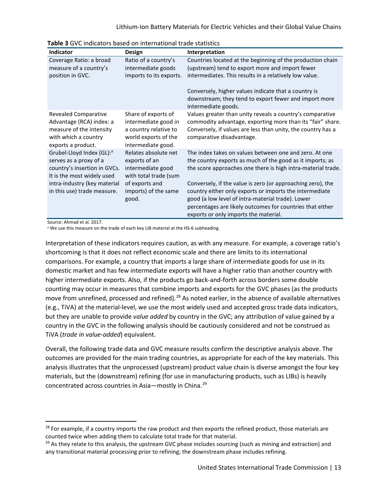| <b>Indicator</b>                                                                                                                  | Design                                                                                                             | Interpretation                                                                                                                                                                                                                                                                                                  |
|-----------------------------------------------------------------------------------------------------------------------------------|--------------------------------------------------------------------------------------------------------------------|-----------------------------------------------------------------------------------------------------------------------------------------------------------------------------------------------------------------------------------------------------------------------------------------------------------------|
| Coverage Ratio: a broad<br>measure of a country's<br>position in GVC.                                                             | Ratio of a country's<br>intermediate goods<br>imports to its exports.                                              | Countries located at the beginning of the production chain<br>(upstream) tend to export more and import fewer<br>intermediates. This results in a relatively low value.<br>Conversely, higher values indicate that a country is<br>downstream; they tend to export fewer and import more<br>intermediate goods. |
| <b>Revealed Comparative</b><br>Advantage (RCA) index: a<br>measure of the intensity<br>with which a country<br>exports a product. | Share of exports of<br>intermediate good in<br>a country relative to<br>world exports of the<br>intermediate good. | Values greater than unity reveals a country's comparative<br>commodity advantage, exporting more than its "fair" share.<br>Conversely, if values are less than unity, the country has a<br>comparative disadvantage.                                                                                            |
| Grubel-Lloyd Index (GL): <sup>a</sup><br>serves as a proxy of a<br>country's insertion in GVCs.<br>It is the most widely used     | Relates absolute net<br>exports of an<br>intermediate good<br>with total trade (sum                                | The index takes on values between one and zero. At one<br>the country exports as much of the good as it imports; as<br>the score approaches one there is high intra-material trade.                                                                                                                             |
| intra-industry (key material<br>in this use) trade measure.                                                                       | of exports and<br>imports) of the same<br>good.                                                                    | Conversely, if the value is zero (or approaching zero), the<br>country either only exports or imports the intermediate<br>good (a low level of intra-material trade). Lower<br>percentages are likely outcomes for countries that either<br>exports or only imports the material.                               |

**Table 3** GVC indicators based on international trade statistics

Source: Ahmad et al. 2017.

a We use this measure on the trade of each key LIB material at the HS-6 subheading.

Interpretation of these indicators requires caution, as with any measure. For example, a coverage ratio's shortcoming is that it does not reflect economic scale and there are limits to its international comparisons. For example, a country that imports a large share of intermediate goods for use in its domestic market and has few intermediate exports will have a higher ratio than another country with higher intermediate exports. Also, if the products go back-and-forth across borders some double counting may occur in measures that combine imports and exports for the GVC phases (as the products move from unrefined, processed and refined).<sup>[28](#page-16-0)</sup> As noted earlier, in the absence of available alternatives (e.g., TiVA) at the material-level, we use the most widely used and accepted gross trade data indicators, but they are unable to provide *value added* by country in the GVC; any attribution of value gained by a country in the GVC in the following analysis should be cautiously considered and not be construed as TiVA (*trade in value-added*) equivalent.

Overall, the following trade data and GVC measure results confirm the descriptive analysis above. The outcomes are provided for the main trading countries, as appropriate for each of the key materials. This analysis illustrates that the unprocessed (upstream) product value chain is diverse amongst the four key materials, but the (downstream) refining (for use in manufacturing products, such as LIBs) is heavily concentrated across countries in Asia—mostly in China.[29](#page-16-1)

<span id="page-16-0"></span> $28$  For example, if a country imports the raw product and then exports the refined product, those materials are counted twice when adding them to calculate total trade for that material.

<span id="page-16-1"></span> $29$  As they relate to this analysis, the upstream GVC phase includes sourcing (such as mining and extraction) and any transitional material processing prior to refining; the downstream phase includes refining.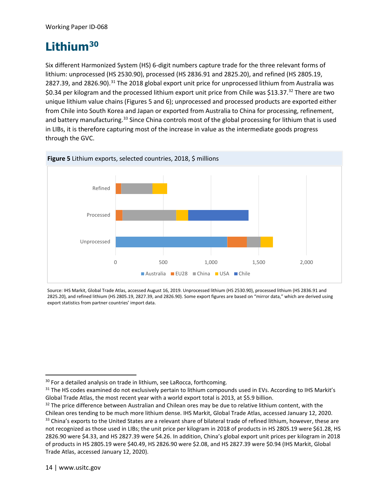### **Lithium[30](#page-17-0)**

Six different Harmonized System (HS) 6-digit numbers capture trade for the three relevant forms of lithium: unprocessed (HS 2530.90), processed (HS 2836.91 and 2825.20), and refined (HS 2805.19, 2827.39, and 2826.90).<sup>[31](#page-17-1)</sup> The 2018 global export unit price for unprocessed lithium from Australia was \$0.34 per kilogram and the processed lithium export unit price from Chile was \$13.37.[32](#page-17-2) There are two unique lithium value chains (Figures 5 and 6); unprocessed and processed products are exported either from Chile into South Korea and Japan or exported from Australia to China for processing, refinement, and battery manufacturing.<sup>33</sup> Since China controls most of the global processing for lithium that is used in LIBs, it is therefore capturing most of the increase in value as the intermediate goods progress through the GVC.



Source: IHS Markit, Global Trade Atlas, accessed August 16, 2019. Unprocessed lithium (HS 2530.90), processed lithium (HS 2836.91 and 2825.20), and refined lithium (HS 2805.19, 2827.39, and 2826.90). Some export figures are based on "mirror data," which are derived using export statistics from partner countries' import data.

<span id="page-17-0"></span><sup>&</sup>lt;sup>30</sup> For a detailed analysis on trade in lithium, see LaRocca, forthcoming.

<span id="page-17-1"></span><sup>&</sup>lt;sup>31</sup> The HS codes examined do not exclusively pertain to lithium compounds used in EVs. According to IHS Markit's Global Trade Atlas, the most recent year with a world export total is 2013, at \$5.9 billion.

<span id="page-17-3"></span><span id="page-17-2"></span><sup>&</sup>lt;sup>32</sup> The price difference between Australian and Chilean ores may be due to relative lithium content, with the Chilean ores tending to be much more lithium dense. IHS Markit, Global Trade Atlas, accessed January 12, 2020. <sup>33</sup> China's exports to the United States are a relevant share of bilateral trade of refined lithium, however, these are not recognized as those used in LIBs; the unit price per kilogram in 2018 of products in HS 2805.19 were \$61.28, HS 2826.90 were \$4.33, and HS 2827.39 were \$4.26. In addition, China's global export unit prices per kilogram in 2018 of products in HS 2805.19 were \$40.49, HS 2826.90 were \$2.08, and HS 2827.39 were \$0.94 (IHS Markit, Global Trade Atlas, accessed January 12, 2020).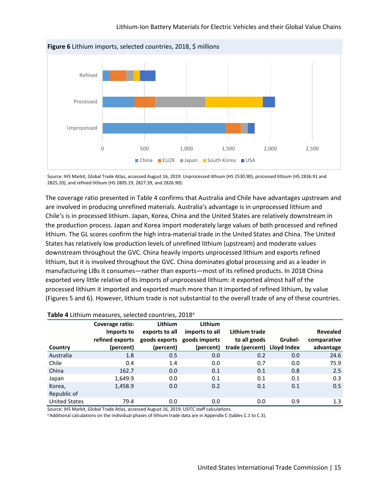

Source: IHS Markit, Global Trade Atlas, accessed August 16, 2019. Unprocessed lithium (HS 2530.90), processed lithium (HS 2836.91 and 2825.20), and refined lithium (HS 2805.19, 2827.39, and 2826.90).

The coverage ratio presented in Table 4 confirms that Australia and Chile have advantages upstream and are involved in producing unrefined materials. Australia's advantage is in unprocessed lithium and Chile's is in processed lithium. Japan, Korea, China and the United States are relatively downstream in the production process. Japan and Korea import moderately large values of both processed and refined lithium. The GL scores confirm the high intra-material trade in the United States and China. The United States has relatively low production levels of unrefined lithium (upstream) and moderate values downstream throughout the GVC. China heavily imports unprocessed lithium and exports refined lithium, but it is involved throughout the GVC. China dominates global processing and as a leader in manufacturing LIBs it consumes—rather than exports—most of its refined products. In 2018 China exported very little relative of its imports of unprocessed lithium: it exported almost half of the processed lithium it imported and exported much more than it imported of refined lithium, by value (Figures 5 and 6). However, lithium trade is not substantial to the overall trade of any of these countries.

|                      | Coverage ratio:               | Lithium        | Lithium                                       |                               |         |                                |
|----------------------|-------------------------------|----------------|-----------------------------------------------|-------------------------------|---------|--------------------------------|
|                      | Imports to<br>refined exports | exports to all | imports to all<br>goods exports goods imports | Lithium trade<br>to all goods | Grubel- | <b>Revealed</b><br>comparative |
| Country              | (percent)                     | (percent)      | (percent)                                     | trade (percent) Lloyd Index   |         | advantage                      |
| Australia            | 1.8                           | 0.5            | 0.0                                           | 0.2                           | 0.0     | 24.6                           |
| Chile                | 0.4                           | 1.4            | 0.0                                           | 0.7                           | 0.0     | 75.9                           |
| China                | 162.7                         | 0.0            | 0.1                                           | 0.1                           | 0.8     | 2.5                            |
| Japan                | 1,649.9                       | 0.0            | 0.1                                           | 0.1                           | 0.1     | 0.3                            |
| Korea,               | 1,458.9                       | 0.0            | 0.2                                           | 0.1                           | 0.1     | 0.5                            |
| Republic of          |                               |                |                                               |                               |         |                                |
| <b>United States</b> | 79.4                          | 0.0            | 0.0                                           | 0.0                           | 0.9     | 1.3                            |

#### **Table 4** Lithium measures, selected countries, 2018a

Source: IHS Markit, Global Trade Atlas, accessed August 16, 2019; USITC staff calculations.

a Additional calculations on the individual phases of lithium trade data are in Appendix C (tables C.1 to C.3).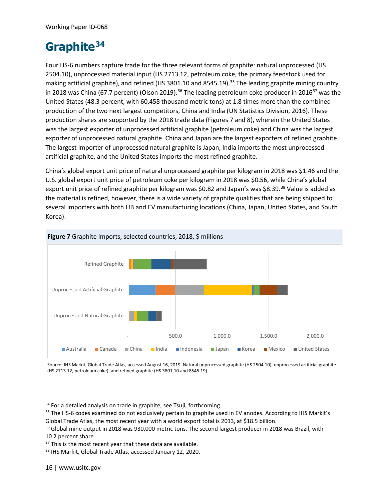### **Graphite[34](#page-19-0)**

Four HS-6 numbers capture trade for the three relevant forms of graphite: natural unprocessed (HS 2504.10), unprocessed material input (HS 2713.12, petroleum coke, the primary feedstock used for making artificial graphite), and refined (HS 3801.10 and 8545.19).<sup>35</sup> The leading graphite mining country in 2018 was China (67.7 percent) (Olson 2019).<sup>36</sup> The leading petroleum coke producer in 2016<sup>[37](#page-19-3)</sup> was the United States (48.3 percent, with 60,458 thousand metric tons) at 1.8 times more than the combined production of the two next largest competitors, China and India (UN Statistics Division, 2016). These production shares are supported by the 2018 trade data (Figures 7 and 8), wherein the United States was the largest exporter of unprocessed artificial graphite (petroleum coke) and China was the largest exporter of unprocessed natural graphite. China and Japan are the largest exporters of refined graphite. The largest importer of unprocessed natural graphite is Japan, India imports the most unprocessed artificial graphite, and the United States imports the most refined graphite.

China's global export unit price of natural unprocessed graphite per kilogram in 2018 was \$1.46 and the U.S. global export unit price of petroleum coke per kilogram in 2018 was \$0.56, while China's global export unit price of refined graphite per kilogram was \$0.82 and Japan's was \$8.39.<sup>[38](#page-19-4)</sup> Value is added as the material is refined, however, there is a wide variety of graphite qualities that are being shipped to several importers with both LIB and EV manufacturing locations (China, Japan, United States, and South Korea).



Source: IHS Markit, Global Trade Atlas, accessed August 16, 2019. Natural unprocessed graphite (HS 2504.10), unprocessed artificial graphite (HS 2713.12, petroleum coke), and refined graphite (HS 3801.10 and 8545.19).

<span id="page-19-0"></span><sup>&</sup>lt;sup>34</sup> For a detailed analysis on trade in graphite, see Tsuji, forthcoming.

<span id="page-19-1"></span><sup>&</sup>lt;sup>35</sup> The HS-6 codes examined do not exclusively pertain to graphite used in EV anodes. According to IHS Markit's Global Trade Atlas, the most recent year with a world export total is 2013, at \$18.5 billion.

<span id="page-19-2"></span><sup>&</sup>lt;sup>36</sup> Global mine output in 2018 was 930,000 metric tons. The second largest producer in 2018 was Brazil, with 10.2 percent share.

<span id="page-19-3"></span><sup>&</sup>lt;sup>37</sup> This is the most recent year that these data are available.

<span id="page-19-4"></span><sup>38</sup> IHS Markit, Global Trade Atlas, accessed January 12, 2020.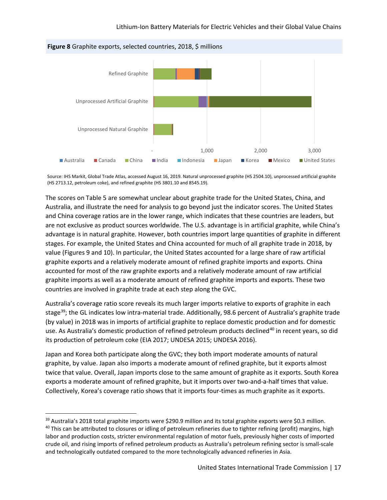

Source: IHS Markit, Global Trade Atlas, accessed August 16, 2019. Natural unprocessed graphite (HS 2504.10), unprocessed artificial graphite (HS 2713.12, petroleum coke), and refined graphite (HS 3801.10 and 8545.19).

The scores on Table 5 are somewhat unclear about graphite trade for the United States, China, and Australia, and illustrate the need for analysis to go beyond just the indicator scores. The United States and China coverage ratios are in the lower range, which indicates that these countries are leaders, but are not exclusive as product sources worldwide. The U.S. advantage is in artificial graphite, while China's advantage is in natural graphite. However, both countries import large quantities of graphite in different stages. For example, the United States and China accounted for much of all graphite trade in 2018, by value (Figures 9 and 10). In particular, the United States accounted for a large share of raw artificial graphite exports and a relatively moderate amount of refined graphite imports and exports. China accounted for most of the raw graphite exports and a relatively moderate amount of raw artificial graphite imports as well as a moderate amount of refined graphite imports and exports. These two countries are involved in graphite trade at each step along the GVC.

Australia's coverage ratio score reveals its much larger imports relative to exports of graphite in each stage<sup>[39](#page-20-0)</sup>; the GL indicates low intra-material trade. Additionally, 98.6 percent of Australia's graphite trade (by value) in 2018 was in imports of artificial graphite to replace domestic production and for domestic use. As Australia's domestic production of refined petroleum products declined<sup>[40](#page-20-1)</sup> in recent years, so did its production of petroleum coke (EIA 2017; UNDESA 2015; UNDESA 2016).

Japan and Korea both participate along the GVC; they both import moderate amounts of natural graphite, by value. Japan also imports a moderate amount of refined graphite, but it exports almost twice that value. Overall, Japan imports close to the same amount of graphite as it exports. South Korea exports a moderate amount of refined graphite, but it imports over two-and-a-half times that value. Collectively, Korea's coverage ratio shows that it imports four-times as much graphite as it exports.

<span id="page-20-1"></span><span id="page-20-0"></span><sup>&</sup>lt;sup>39</sup> Australia's 2018 total graphite imports were \$290.9 million and its total graphite exports were \$0.3 million.  $40$  This can be attributed to closures or idling of petroleum refineries due to tighter refining (profit) margins, high labor and production costs, stricter environmental regulation of motor fuels, previously higher costs of imported crude oil, and rising imports of refined petroleum products as Australia's petroleum refining sector is small-scale and technologically outdated compared to the more technologically advanced refineries in Asia.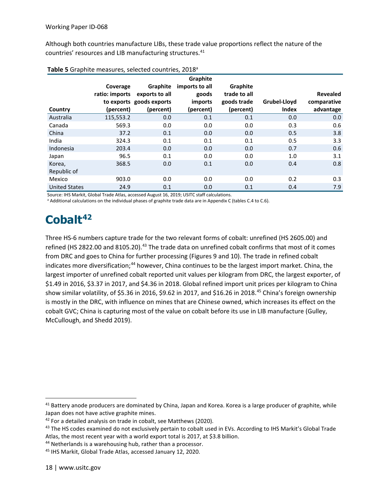Although both countries manufacture LIBs, these trade value proportions reflect the nature of the countries' resources and LIB manufacturing structures.<sup>[41](#page-21-0)</sup>

|                      |                |                          | Graphite       |              |              |                 |
|----------------------|----------------|--------------------------|----------------|--------------|--------------|-----------------|
|                      | Coverage       | Graphite                 | imports to all | Graphite     |              |                 |
|                      | ratio: imports | exports to all           | goods          | trade to all |              | <b>Revealed</b> |
|                      |                | to exports goods exports | imports        | goods trade  | Grubel-Lloyd | comparative     |
| Country              | (percent)      | (percent)                | (percent)      | (percent)    | <b>Index</b> | advantage       |
| Australia            | 115,553.2      | 0.0                      | 0.1            | 0.1          | 0.0          | 0.0             |
| Canada               | 569.3          | 0.0                      | 0.0            | 0.0          | 0.3          | 0.6             |
| China                | 37.2           | 0.1                      | 0.0            | 0.0          | 0.5          | 3.8             |
| India                | 324.3          | 0.1                      | 0.1            | 0.1          | 0.5          | 3.3             |
| Indonesia            | 203.4          | 0.0                      | 0.0            | 0.0          | 0.7          | 0.6             |
| Japan                | 96.5           | 0.1                      | 0.0            | 0.0          | 1.0          | 3.1             |
| Korea,               | 368.5          | 0.0                      | 0.1            | 0.0          | 0.4          | 0.8             |
| Republic of          |                |                          |                |              |              |                 |
| Mexico               | 903.0          | 0.0                      | 0.0            | 0.0          | 0.2          | 0.3             |
| <b>United States</b> | 24.9           | 0.1                      | 0.0            | 0.1          | 0.4          | 7.9             |

| Table 5 Graphite measures, selected countries, 2018 <sup>a</sup> |  |  |  |
|------------------------------------------------------------------|--|--|--|
|------------------------------------------------------------------|--|--|--|

Source: IHS Markit, Global Trade Atlas, accessed August 16, 2019; USITC staff calculations.

<sup>a</sup> Additional calculations on the individual phases of graphite trade data are in Appendix C (tables C.4 to C.6).

### **Cobalt[42](#page-21-1)**

Three HS-6 numbers capture trade for the two relevant forms of cobalt: unrefined (HS 2605.00) and refined (HS 2822.00 and 8105.20).<sup>43</sup> The trade data on unrefined cobalt confirms that most of it comes from DRC and goes to China for further processing (Figures 9 and 10). The trade in refined cobalt indicates more diversification;<sup>[44](#page-21-3)</sup> however, China continues to be the largest import market. China, the largest importer of unrefined cobalt reported unit values per kilogram from DRC, the largest exporter, of \$1.49 in 2016, \$3.37 in 2017, and \$4.36 in 2018. Global refined import unit prices per kilogram to China show similar volatility, of \$5.36 in 2016, \$9.62 in 2017, and \$16.26 in 2018.<sup>45</sup> China's foreign ownership is mostly in the DRC, with influence on mines that are Chinese owned, which increases its effect on the cobalt GVC; China is capturing most of the value on cobalt before its use in LIB manufacture (Gulley, McCullough, and Shedd 2019).

<span id="page-21-0"></span><sup>&</sup>lt;sup>41</sup> Battery anode producers are dominated by China, Japan and Korea. Korea is a large producer of graphite, while Japan does not have active graphite mines.

<span id="page-21-1"></span><sup>&</sup>lt;sup>42</sup> For a detailed analysis on trade in cobalt, see Matthews (2020).

<span id="page-21-2"></span><sup>&</sup>lt;sup>43</sup> The HS codes examined do not exclusively pertain to cobalt used in EVs. According to IHS Markit's Global Trade Atlas, the most recent year with a world export total is 2017, at \$3.8 billion.

<span id="page-21-3"></span><sup>44</sup> Netherlands is a warehousing hub, rather than a processor.

<span id="page-21-4"></span><sup>45</sup> IHS Markit, Global Trade Atlas, accessed January 12, 2020.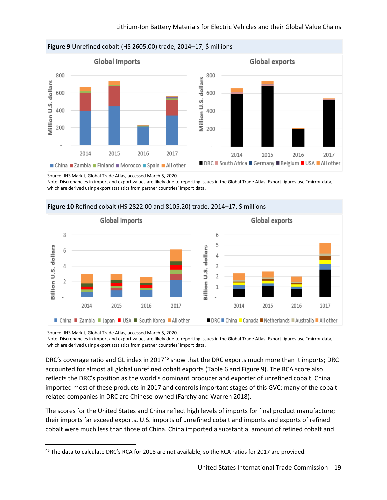

Source: IHS Markit, Global Trade Atlas, accessed March 5, 2020.

Note: Discrepancies in import and export values are likely due to reporting issues in the Global Trade Atlas. Export figures use "mirror data," which are derived using export statistics from partner countries' import data.



#### **Figure 10** Refined cobalt (HS 2822.00 and 8105.20) trade, 2014–17, \$ millions

Source: IHS Markit, Global Trade Atlas, accessed March 5, 2020.

Note: Discrepancies in import and export values are likely due to reporting issues in the Global Trade Atlas. Export figures use "mirror data," which are derived using export statistics from partner countries' import data.

DRC's coverage ratio and GL index in 2017<sup>[46](#page-22-0)</sup> show that the DRC exports much more than it imports; DRC accounted for almost all global unrefined cobalt exports (Table 6 and Figure 9). The RCA score also reflects the DRC's position as the world's dominant producer and exporter of unrefined cobalt. China imported most of these products in 2017 and controls important stages of this GVC; many of the cobaltrelated companies in DRC are Chinese-owned (Farchy and Warren 2018).

The scores for the United States and China reflect high levels of imports for final product manufacture; their imports far exceed exports**.** U.S. imports of unrefined cobalt and imports and exports of refined cobalt were much less than those of China. China imported a substantial amount of refined cobalt and

<span id="page-22-0"></span><sup>&</sup>lt;sup>46</sup> The data to calculate DRC's RCA for 2018 are not available, so the RCA ratios for 2017 are provided.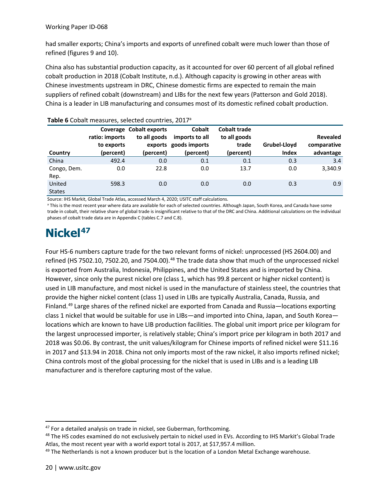had smaller exports; China's imports and exports of unrefined cobalt were much lower than those of refined (figures 9 and 10).

China also has substantial production capacity, as it accounted for over 60 percent of all global refined cobalt production in 2018 (Cobalt Institute, n.d.). Although capacity is growing in other areas with Chinese investments upstream in DRC, Chinese domestic firms are expected to remain the main suppliers of refined cobalt (downstream) and LIBs for the next few years (Patterson and Gold 2018). China is a leader in LIB manufacturing and consumes most of its domestic refined cobalt production.

| Country                 | ratio: imports<br>to exports<br>(percent) | Coverage Cobalt exports<br>to all goods<br>(percent) | <b>Cobalt</b><br>imports to all<br>exports goods imports<br>(percent) | <b>Cobalt trade</b><br>to all goods<br>trade<br>(percent) | Grubel-Lloyd<br><b>Index</b> | <b>Revealed</b><br>comparative<br>advantage |
|-------------------------|-------------------------------------------|------------------------------------------------------|-----------------------------------------------------------------------|-----------------------------------------------------------|------------------------------|---------------------------------------------|
| China                   | 492.4                                     | 0.0                                                  | 0.1                                                                   | 0.1                                                       | 0.3                          | 3.4                                         |
| Congo, Dem.<br>Rep.     | 0.0                                       | 22.8                                                 | 0.0                                                                   | 13.7                                                      | 0.0                          | 3,340.9                                     |
| United<br><b>States</b> | 598.3                                     | 0.0                                                  | 0.0                                                                   | 0.0                                                       | 0.3                          | 0.9                                         |

#### **Table 6** Cobalt measures, selected countries, 2017a

Source: IHS Markit, Global Trade Atlas, accessed March 4, 2020; USITC staff calculations.

<sup>a</sup> This is the most recent year where data are available for each of selected countries. Although Japan, South Korea, and Canada have some trade in cobalt, their relative share of global trade is insignificant relative to that of the DRC and China. Additional calculations on the individual phases of cobalt trade data are in Appendix C (tables C.7 and C.8).

### **Nickel[47](#page-23-0)**

Four HS-6 numbers capture trade for the two relevant forms of nickel: unprocessed (HS 2604.00) and refined (HS 7502.10, 7502.20, and 7504.00).<sup>[48](#page-23-1)</sup> The trade data show that much of the unprocessed nickel is exported from Australia, Indonesia, Philippines, and the United States and is imported by China. However, since only the purest nickel ore (class 1, which has 99.8 percent or higher nickel content) is used in LIB manufacture, and most nickel is used in the manufacture of stainless steel, the countries that provide the higher nickel content (class 1) used in LIBs are typically Australia, Canada, Russia, and Finland.<sup>[49](#page-23-2)</sup> Large shares of the refined nickel are exported from Canada and Russia—locations exporting class 1 nickel that would be suitable for use in LIBs—and imported into China, Japan, and South Korea locations which are known to have LIB production facilities. The global unit import price per kilogram for the largest unprocessed importer, is relatively stable; China's import price per kilogram in both 2017 and 2018 was \$0.06. By contrast, the unit values/kilogram for Chinese imports of refined nickel were \$11.16 in 2017 and \$13.94 in 2018. China not only imports most of the raw nickel, it also imports refined nickel; China controls most of the global processing for the nickel that is used in LIBs and is a leading LIB manufacturer and is therefore capturing most of the value.

<span id="page-23-0"></span><sup>&</sup>lt;sup>47</sup> For a detailed analysis on trade in nickel, see Guberman, forthcoming.

<span id="page-23-1"></span><sup>&</sup>lt;sup>48</sup> The HS codes examined do not exclusively pertain to nickel used in EVs. According to IHS Markit's Global Trade Atlas, the most recent year with a world export total is 2017, at \$17,957.4 million.

<span id="page-23-2"></span> $49$  The Netherlands is not a known producer but is the location of a London Metal Exchange warehouse.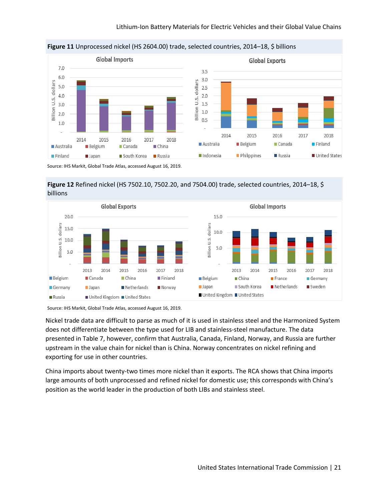

**Figure 11** Unprocessed nickel (HS 2604.00) trade, selected countries, 2014–18, \$ billions

Source: IHS Markit, Global Trade Atlas, accessed August 16, 2019.

**Figure 12** Refined nickel (HS 7502.10, 7502.20, and 7504.00) trade, selected countries, 2014–18, \$ billions



Source: IHS Markit, Global Trade Atlas, accessed August 16, 2019.

Nickel trade data are difficult to parse as much of it is used in stainless steel and the Harmonized System does not differentiate between the type used for LIB and stainless-steel manufacture. The data presented in Table 7, however, confirm that Australia, Canada, Finland, Norway, and Russia are further upstream in the value chain for nickel than is China. Norway concentrates on nickel refining and exporting for use in other countries.

China imports about twenty-two times more nickel than it exports. The RCA shows that China imports large amounts of both unprocessed and refined nickel for domestic use; this corresponds with China's position as the world leader in the production of both LIBs and stainless steel.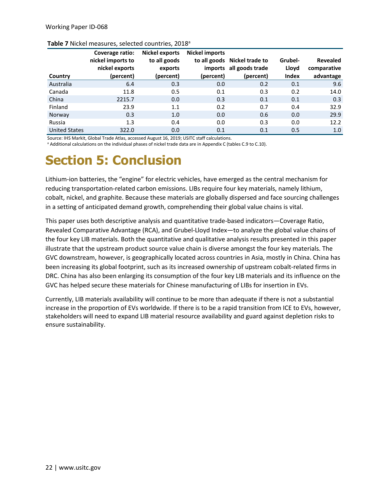| Country              | Coverage ratio:<br>nickel imports to<br>nickel exports<br>(percent) | <b>Nickel exports</b><br>to all goods<br>exports<br>(percent) | <b>Nickel imports</b><br>(percent) | to all goods Nickel trade to<br>imports all goods trade<br>(percent) | Grubel-<br>Lloyd<br>Index | Revealed<br>comparative<br>advantage |
|----------------------|---------------------------------------------------------------------|---------------------------------------------------------------|------------------------------------|----------------------------------------------------------------------|---------------------------|--------------------------------------|
| Australia            | 6.4                                                                 | 0.3                                                           | 0.0                                | 0.2                                                                  | 0.1                       | 9.6                                  |
| Canada               | 11.8                                                                | 0.5                                                           | 0.1                                | 0.3                                                                  | 0.2                       | 14.0                                 |
| China                | 2215.7                                                              | 0.0                                                           | 0.3                                | 0.1                                                                  | 0.1                       | 0.3                                  |
| Finland              | 23.9                                                                | 1.1                                                           | 0.2                                | 0.7                                                                  | 0.4                       | 32.9                                 |
| Norway               | 0.3                                                                 | 1.0                                                           | 0.0                                | 0.6                                                                  | 0.0                       | 29.9                                 |
| Russia               | 1.3                                                                 | 0.4                                                           | 0.0                                | 0.3                                                                  | 0.0                       | 12.2                                 |
| <b>United States</b> | 322.0                                                               | 0.0                                                           | 0.1                                | 0.1                                                                  | 0.5                       | 1.0                                  |

#### Table 7 Nickel measures, selected countries, 2018<sup>a</sup>

Source: IHS Markit, Global Trade Atlas, accessed August 16, 2019; USITC staff calculations.

<sup>a</sup> Additional calculations on the individual phases of nickel trade data are in Appendix C (tables C.9 to C.10).

### **Section 5: Conclusion**

Lithium-ion batteries, the "engine" for electric vehicles, have emerged as the central mechanism for reducing transportation-related carbon emissions. LIBs require four key materials, namely lithium, cobalt, nickel, and graphite. Because these materials are globally dispersed and face sourcing challenges in a setting of anticipated demand growth, comprehending their global value chains is vital.

This paper uses both descriptive analysis and quantitative trade-based indicators—Coverage Ratio, Revealed Comparative Advantage (RCA), and Grubel-Lloyd Index—to analyze the global value chains of the four key LIB materials. Both the quantitative and qualitative analysis results presented in this paper illustrate that the upstream product source value chain is diverse amongst the four key materials. The GVC downstream, however, is geographically located across countries in Asia, mostly in China. China has been increasing its global footprint, such as its increased ownership of upstream cobalt-related firms in DRC. China has also been enlarging its consumption of the four key LIB materials and its influence on the GVC has helped secure these materials for Chinese manufacturing of LIBs for insertion in EVs.

Currently, LIB materials availability will continue to be more than adequate if there is not a substantial increase in the proportion of EVs worldwide. If there is to be a rapid transition from ICE to EVs, however, stakeholders will need to expand LIB material resource availability and guard against depletion risks to ensure sustainability.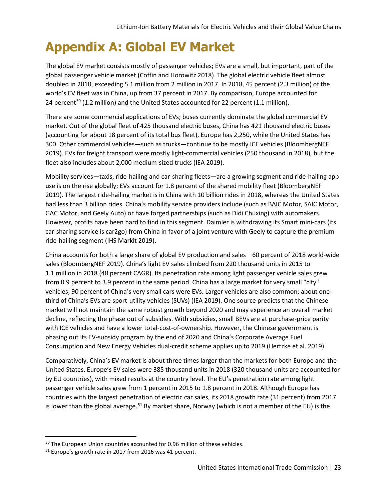### **Appendix A: Global EV Market**

The global EV market consists mostly of passenger vehicles; EVs are a small, but important, part of the global passenger vehicle market (Coffin and Horowitz 2018). The global electric vehicle fleet almost doubled in 2018, exceeding 5.1 million from 2 million in 2017. In 2018, 45 percent (2.3 million) of the world's EV fleet was in China, up from 37 percent in 2017. By comparison, Europe accounted for 24 percent<sup>[50](#page-26-0)</sup> (1.2 million) and the United States accounted for 22 percent (1.1 million).

There are some commercial applications of EVs; buses currently dominate the global commercial EV market. Out of the global fleet of 425 thousand electric buses, China has 421 thousand electric buses (accounting for about 18 percent of its total bus fleet), Europe has 2,250, while the United States has 300. Other commercial vehicles—such as trucks—continue to be mostly ICE vehicles (BloombergNEF 2019). EVs for freight transport were mostly light-commercial vehicles (250 thousand in 2018), but the fleet also includes about 2,000 medium-sized trucks (IEA 2019).

Mobility services—taxis, ride-hailing and car-sharing fleets—are a growing segment and ride-hailing app use is on the rise globally; EVs account for 1.8 percent of the shared mobility fleet (BloombergNEF 2019). The largest ride-hailing market is in China with 10 billion rides in 2018, whereas the United States had less than 3 billion rides. China's mobility service providers include (such as BAIC Motor, SAIC Motor, GAC Motor, and Geely Auto) or have forged partnerships (such as Didi Chuxing) with automakers. However, profits have been hard to find in this segment. Daimler is withdrawing its Smart mini-cars (its car-sharing service is car2go) from China in favor of a joint venture with Geely to capture the premium ride-hailing segment (IHS Markit 2019).

China accounts for both a large share of global EV production and sales—60 percent of 2018 world-wide sales (BloombergNEF 2019). China's light EV sales climbed from 220 thousand units in 2015 to 1.1 million in 2018 (48 percent CAGR). Its penetration rate among light passenger vehicle sales grew from 0.9 percent to 3.9 percent in the same period. China has a large market for very small "city" vehicles; 90 percent of China's very small cars were EVs. Larger vehicles are also common; about onethird of China's EVs are sport-utility vehicles (SUVs) (IEA 2019). One source predicts that the Chinese market will not maintain the same robust growth beyond 2020 and may experience an overall market decline, reflecting the phase out of subsidies. With subsidies, small BEVs are at purchase-price parity with ICE vehicles and have a lower total-cost-of-ownership. However, the Chinese government is phasing out its EV-subsidy program by the end of 2020 and China's Corporate Average Fuel Consumption and New Energy Vehicles dual-credit scheme applies up to 2019 (Hertzke et al. 2019).

Comparatively, China's EV market is about three times larger than the markets for both Europe and the United States. Europe's EV sales were 385 thousand units in 2018 (320 thousand units are accounted for by EU countries), with mixed results at the country level. The EU's penetration rate among light passenger vehicle sales grew from 1 percent in 2015 to 1.8 percent in 2018. Although Europe has countries with the largest penetration of electric car sales, its 2018 growth rate (31 percent) from 2017 is lower than the global average.<sup>[51](#page-26-1)</sup> By market share, Norway (which is not a member of the EU) is the

<span id="page-26-0"></span><sup>&</sup>lt;sup>50</sup> The European Union countries accounted for 0.96 million of these vehicles.

<span id="page-26-1"></span><sup>&</sup>lt;sup>51</sup> Europe's growth rate in 2017 from 2016 was 41 percent.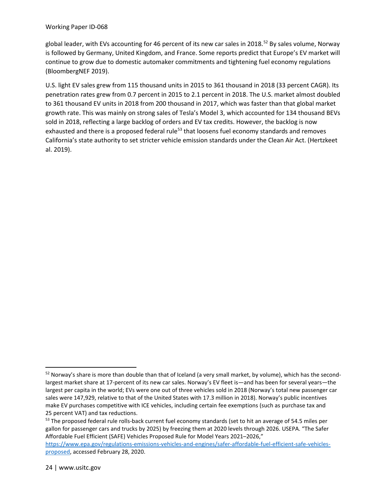#### Working Paper ID-068

global leader, with EVs accounting for 46 percent of its new car sales in 2018.<sup>[52](#page-27-0)</sup> By sales volume, Norway is followed by Germany, United Kingdom, and France. Some reports predict that Europe's EV market will continue to grow due to domestic automaker commitments and tightening fuel economy regulations (BloombergNEF 2019).

U.S. light EV sales grew from 115 thousand units in 2015 to 361 thousand in 2018 (33 percent CAGR). Its penetration rates grew from 0.7 percent in 2015 to 2.1 percent in 2018. The U.S. market almost doubled to 361 thousand EV units in 2018 from 200 thousand in 2017, which was faster than that global market growth rate. This was mainly on strong sales of Tesla's Model 3, which accounted for 134 thousand BEVs sold in 2018, reflecting a large backlog of orders and EV tax credits. However, the backlog is now exhausted and there is a proposed federal rule<sup>[53](#page-27-1)</sup> that loosens fuel economy standards and removes California's state authority to set stricter vehicle emission standards under the Clean Air Act. (Hertzkeet al. 2019).

<span id="page-27-0"></span><sup>&</sup>lt;sup>52</sup> Norway's share is more than double than that of Iceland (a very small market, by volume), which has the secondlargest market share at 17-percent of its new car sales. Norway's EV fleet is—and has been for several years—the largest per capita in the world; EVs were one out of three vehicles sold in 2018 (Norway's total new passenger car sales were 147,929, relative to that of the United States with 17.3 million in 2018). Norway's public incentives make EV purchases competitive with ICE vehicles, including certain fee exemptions (such as purchase tax and 25 percent VAT) and tax reductions.

<span id="page-27-1"></span><sup>&</sup>lt;sup>53</sup> The proposed federal rule rolls-back current fuel economy standards (set to hit an average of 54.5 miles per gallon for passenger cars and trucks by 2025) by freezing them at 2020 levels through 2026. USEPA. "The Safer Affordable Fuel Efficient (SAFE) Vehicles Proposed Rule for Model Years 2021–2026,"

[https://www.epa.gov/regulations-emissions-vehicles-and-engines/safer-affordable-fuel-efficient-safe-vehicles](https://www.epa.gov/regulations-emissions-vehicles-and-engines/safer-affordable-fuel-efficient-safe-vehicles-proposed)[proposed,](https://www.epa.gov/regulations-emissions-vehicles-and-engines/safer-affordable-fuel-efficient-safe-vehicles-proposed) accessed February 28, 2020.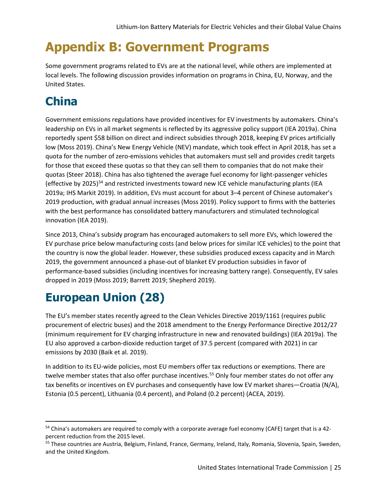### **Appendix B: Government Programs**

Some government programs related to EVs are at the national level, while others are implemented at local levels. The following discussion provides information on programs in China, EU, Norway, and the United States.

### **China**

Government emissions regulations have provided incentives for EV investments by automakers. China's leadership on EVs in all market segments is reflected by its aggressive policy support (IEA 2019a). China reportedly spent \$58 billion on direct and indirect subsidies through 2018, keeping EV prices artificially low (Moss 2019). China's New Energy Vehicle (NEV) mandate, which took effect in April 2018, has set a quota for the number of zero-emissions vehicles that automakers must sell and provides credit targets for those that exceed these quotas so that they can sell them to companies that do not make their quotas (Steer 2018). China has also tightened the average fuel economy for light-passenger vehicles (effective by 2025)<sup>[54](#page-28-0)</sup> and restricted investments toward new ICE vehicle manufacturing plants (IEA 2019a; IHS Markit 2019). In addition, EVs must account for about 3–4 percent of Chinese automaker's 2019 production, with gradual annual increases (Moss 2019). Policy support to firms with the batteries with the best performance has consolidated battery manufacturers and stimulated technological innovation (IEA 2019).

Since 2013, China's subsidy program has encouraged automakers to sell more EVs, which lowered the EV purchase price below manufacturing costs (and below prices for similar ICE vehicles) to the point that the country is now the global leader. However, these subsidies produced excess capacity and in March 2019, the government announced a phase-out of blanket EV production subsidies in favor of performance-based subsidies (including incentives for increasing battery range). Consequently, EV sales dropped in 2019 (Moss 2019; Barrett 2019; Shepherd 2019).

### **European Union (28)**

The EU's member states recently agreed to the Clean Vehicles Directive 2019/1161 (requires public procurement of electric buses) and the 2018 amendment to the Energy Performance Directive 2012/27 (minimum requirement for EV charging infrastructure in new and renovated buildings) (IEA 2019a). The EU also approved a carbon-dioxide reduction target of 37.5 percent (compared with 2021) in car emissions by 2030 (Baik et al. 2019).

In addition to its EU-wide policies, most EU members offer tax reductions or exemptions. There are twelve member states that also offer purchase incentives.<sup>[55](#page-28-1)</sup> Only four member states do not offer any tax benefits or incentives on EV purchases and consequently have low EV market shares—Croatia (N/A), Estonia (0.5 percent), Lithuania (0.4 percent), and Poland (0.2 percent) (ACEA, 2019).

<span id="page-28-0"></span><sup>54</sup> China's automakers are required to comply with a corporate average fuel economy (CAFE) target that is a 42percent reduction from the 2015 level.

<span id="page-28-1"></span><sup>&</sup>lt;sup>55</sup> These countries are Austria, Belgium, Finland, France, Germany, Ireland, Italy, Romania, Slovenia, Spain, Sweden, and the United Kingdom.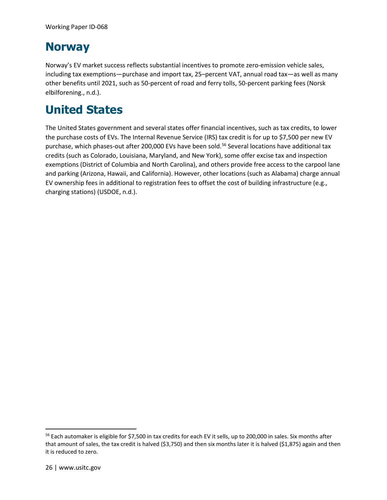#### **Norway**

Norway's EV market success reflects substantial incentives to promote zero-emission vehicle sales, including tax exemptions—purchase and import tax, 25–percent VAT, annual road tax—as well as many other benefits until 2021, such as 50-percent of road and ferry tolls, 50-percent parking fees (Norsk elbilforening., n.d.).

### **United States**

The United States government and several states offer financial incentives, such as tax credits, to lower the purchase costs of EVs. The Internal Revenue Service (IRS) tax credit is for up to \$7,500 per new EV purchase, which phases-out after 200,000 EVs have been sold.<sup>[56](#page-29-0)</sup> Several locations have additional tax credits (such as Colorado, Louisiana, Maryland, and New York), some offer excise tax and inspection exemptions (District of Columbia and North Carolina), and others provide free access to the carpool lane and parking (Arizona, Hawaii, and California). However, other locations (such as Alabama) charge annual EV ownership fees in additional to registration fees to offset the cost of building infrastructure (e.g., charging stations) (USDOE, n.d.).

<span id="page-29-0"></span><sup>&</sup>lt;sup>56</sup> Each automaker is eligible for \$7,500 in tax credits for each EV it sells, up to 200,000 in sales. Six months after that amount of sales, the tax credit is halved (\$3,750) and then six months later it is halved (\$1,875) again and then it is reduced to zero.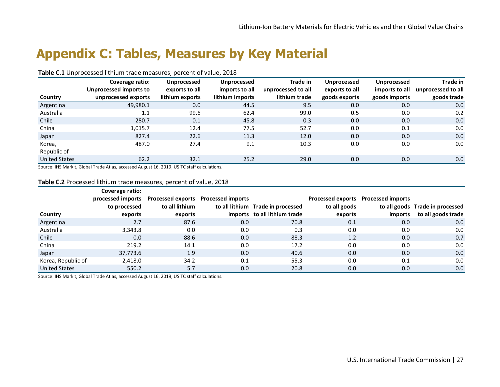### **Appendix C: Tables, Measures by Key Material**

#### **Table C.1** Unprocessed lithium trade measures, percent of value, 2018

|                      | Coverage ratio:        | Unprocessed     | <b>Unprocessed</b> | Trade in           | Unprocessed    | Unprocessed    | Trade in           |
|----------------------|------------------------|-----------------|--------------------|--------------------|----------------|----------------|--------------------|
|                      | Unprocessed imports to | exports to all  | imports to all     | unprocessed to all | exports to all | imports to all | unprocessed to all |
| Country              | unprocessed exports    | lithium exports | lithium imports    | lithium trade      | goods exports  | goods imports  | goods trade        |
| Argentina            | 49,980.1               | 0.0             | 44.5               | 9.5                | 0.0            | 0.0            | 0.0                |
| Australia            | 1.1                    | 99.6            | 62.4               | 99.0               | 0.5            | 0.0            | 0.2                |
| Chile                | 280.7                  | 0.1             | 45.8               | 0.3                | 0.0            | 0.0            | 0.0                |
| China                | 1,015.7                | 12.4            | 77.5               | 52.7               | 0.0            | 0.1            | 0.0                |
| Japan                | 827.4                  | 22.6            | 11.3               | 12.0               | 0.0            | 0.0            | 0.0                |
| Korea,               | 487.0                  | 27.4            | 9.1                | 10.3               | 0.0            | 0.0            | 0.0                |
| Republic of          |                        |                 |                    |                    |                |                |                    |
| <b>United States</b> | 62.2                   | 32.1            | 25.2               | 29.0               | 0.0            | 0.0            | 0.0                |

Source: IHS Markit, Global Trade Atlas, accessed August 16, 2019; USITC staff calculations.

#### **Table C.2** Processed lithium trade measures, percent of value, 2018

|                      | Coverage ratio:<br>to processed | processed imports Processed exports Processed imports<br>to all lithium |     | to all lithium Trade in processed | to all goods | Processed exports Processed imports | to all goods Trade in processed |
|----------------------|---------------------------------|-------------------------------------------------------------------------|-----|-----------------------------------|--------------|-------------------------------------|---------------------------------|
| Country              | exports                         | exports                                                                 |     | imports to all lithium trade      | exports      | imports                             | to all goods trade              |
| Argentina            | 2.7                             | 87.6                                                                    | 0.0 | 70.8                              | 0.1          | 0.0                                 | 0.0                             |
| Australia            | 3,343.8                         | 0.0                                                                     | 0.0 | 0.3                               | 0.0          | 0.0                                 | 0.0                             |
| Chile                | 0.0                             | 88.6                                                                    | 0.0 | 88.3                              | 1.2          | 0.0                                 | 0.7                             |
| China                | 219.2                           | 14.1                                                                    | 0.0 | 17.2                              | 0.0          | 0.0                                 | 0.0                             |
| Japan                | 37,773.6                        | 1.9                                                                     | 0.0 | 40.6                              | 0.0          | 0.0                                 | 0.0                             |
| Korea, Republic of   | 2,418.0                         | 34.2                                                                    | 0.1 | 55.3                              | 0.0          | 0.1                                 | 0.0                             |
| <b>United States</b> | 550.2                           | 5.7                                                                     | 0.0 | 20.8                              | 0.0          | 0.0                                 | 0.0                             |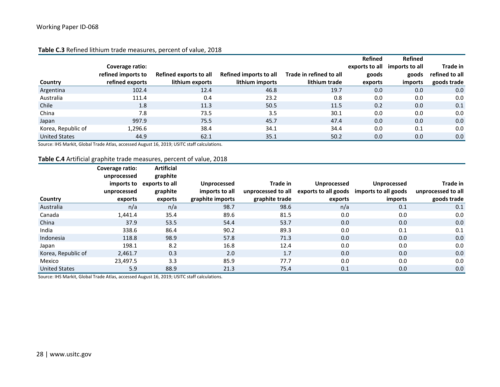|                      |                    |                        |                        |                         | <b>Refined</b> | Refined        |                |
|----------------------|--------------------|------------------------|------------------------|-------------------------|----------------|----------------|----------------|
|                      | Coverage ratio:    |                        |                        |                         | exports to all | imports to all | Trade in       |
|                      | refined imports to | Refined exports to all | Refined imports to all | Trade in refined to all | goods          | goods          | refined to all |
| Country              | refined exports    | lithium exports        | lithium imports        | lithium trade           | exports        | imports        | goods trade    |
| Argentina            | 102.4              | 12.4                   | 46.8                   | 19.7                    | 0.0            | 0.0            | 0.0            |
| Australia            | 111.4              | 0.4                    | 23.2                   | 0.8                     | 0.0            | 0.0            | 0.0            |
| Chile                | 1.8                | 11.3                   | 50.5                   | 11.5                    | 0.2            | 0.0            | 0.1            |
| China                | 7.8                | 73.5                   | 3.5                    | 30.1                    | 0.0            | 0.0            | 0.0            |
| Japan                | 997.9              | 75.5                   | 45.7                   | 47.4                    | 0.0            | 0.0            | 0.0            |
| Korea, Republic of   | 1,296.6            | 38.4                   | 34.1                   | 34.4                    | 0.0            | 0.1            | 0.0            |
| <b>United States</b> | 44.9               | 62.1                   | 35.1                   | 50.2                    | 0.0            | 0.0            | 0.0            |

#### **Table C.3** Refined lithium trade measures, percent of value, 2018

Source: IHS Markit, Global Trade Atlas, accessed August 16, 2019; USITC staff calculations.

#### **Table C.4** Artificial graphite trade measures, percent of value, 2018

|                      | Coverage ratio:<br>unprocessed | <b>Artificial</b><br>graphite         |                                      |                |             |                                                                                    |                                |
|----------------------|--------------------------------|---------------------------------------|--------------------------------------|----------------|-------------|------------------------------------------------------------------------------------|--------------------------------|
|                      | unprocessed                    | imports to exports to all<br>graphite | <b>Unprocessed</b><br>imports to all | Trade in       | Unprocessed | <b>Unprocessed</b><br>unprocessed to all exports to all goods imports to all goods | Trade in<br>unprocessed to all |
| Country              | exports                        | exports                               | graphite imports                     | graphite trade | exports     | imports                                                                            | goods trade                    |
| Australia            | n/a                            | n/a                                   | 98.7                                 | 98.6           | n/a         | 0.1                                                                                | 0.1                            |
| Canada               | 1.441.4                        | 35.4                                  | 89.6                                 | 81.5           | 0.0         | 0.0                                                                                | 0.0                            |
| China                | 37.9                           | 53.5                                  | 54.4                                 | 53.7           | 0.0         | 0.0                                                                                | 0.0                            |
| India                | 338.6                          | 86.4                                  | 90.2                                 | 89.3           | 0.0         | 0.1                                                                                | 0.1                            |
| Indonesia            | 118.8                          | 98.9                                  | 57.8                                 | 71.3           | 0.0         | 0.0                                                                                | 0.0                            |
| Japan                | 198.1                          | 8.2                                   | 16.8                                 | 12.4           | 0.0         | 0.0                                                                                | 0.0                            |
| Korea, Republic of   | 2,461.7                        | 0.3                                   | 2.0                                  | 1.7            | 0.0         | 0.0                                                                                | 0.0                            |
| Mexico               | 23.497.5                       | 3.3                                   | 85.9                                 | 77.7           | 0.0         | 0.0                                                                                | 0.0                            |
| <b>United States</b> | 5.9                            | 88.9                                  | 21.3                                 | 75.4           | 0.1         | 0.0                                                                                | 0.0                            |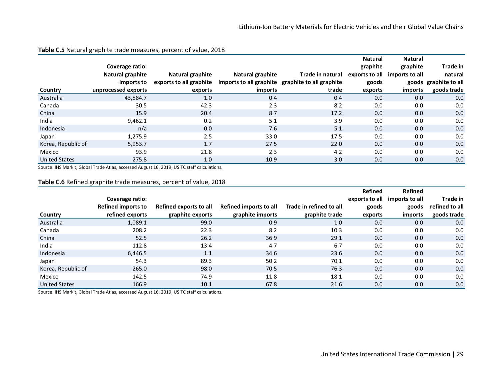|                      |                     |                         |                  |                                                  | <b>Natural</b> | <b>Natural</b> |                       |
|----------------------|---------------------|-------------------------|------------------|--------------------------------------------------|----------------|----------------|-----------------------|
|                      | Coverage ratio:     |                         |                  |                                                  | graphite       | graphite       | Trade in              |
|                      | Natural graphite    | Natural graphite        | Natural graphite | Trade in natural                                 | exports to all | imports to all | natural               |
|                      | imports to          | exports to all graphite |                  | imports to all graphite graphite to all graphite | goods          |                | goods graphite to all |
| Country              | unprocessed exports | exports                 | imports          | trade                                            | exports        | imports        | goods trade           |
| Australia            | 43,584.7            | 1.0                     | 0.4              | 0.4                                              | 0.0            | 0.0            | 0.0                   |
| Canada               | 30.5                | 42.3                    | 2.3              | 8.2                                              | 0.0            | 0.0            | 0.0                   |
| China                | 15.9                | 20.4                    | 8.7              | 17.2                                             | 0.0            | 0.0            | 0.0                   |
| India                | 9,462.1             | 0.2                     | 5.1              | 3.9                                              | 0.0            | 0.0            | 0.0                   |
| Indonesia            | n/a                 | 0.0                     | 7.6              | 5.1                                              | 0.0            | 0.0            | 0.0                   |
| Japan                | 1,275.9             | 2.5                     | 33.0             | 17.5                                             | 0.0            | 0.0            | 0.0                   |
| Korea, Republic of   | 5,953.7             | 1.7                     | 27.5             | 22.0                                             | 0.0            | 0.0            | 0.0                   |
| Mexico               | 93.9                | 21.8                    | 2.3              | 4.2                                              | 0.0            | 0.0            | 0.0                   |
| <b>United States</b> | 275.8               | 1.0                     | 10.9             | 3.0                                              | 0.0            | 0.0            | 0.0                   |

#### **Table C.5** Natural graphite trade measures, percent of value, 2018

Source: IHS Markit, Global Trade Atlas, accessed August 16, 2019; USITC staff calculations.

#### **Table C.6** Refined graphite trade measures, percent of value, 2018

|                      |                    |                        |                        |                         | <b>Refined</b> | <b>Refined</b> |                |
|----------------------|--------------------|------------------------|------------------------|-------------------------|----------------|----------------|----------------|
|                      | Coverage ratio:    |                        |                        |                         | exports to all | imports to all | Trade in       |
|                      | Refined imports to | Refined exports to all | Refined imports to all | Trade in refined to all | goods          | goods          | refined to all |
| Country              | refined exports    | graphite exports       | graphite imports       | graphite trade          | exports        | imports        | goods trade    |
| Australia            | 1,089.1            | 99.0                   | 0.9                    | 1.0                     | 0.0            | 0.0            | 0.0            |
| Canada               | 208.2              | 22.3                   | 8.2                    | 10.3                    | 0.0            | 0.0            | 0.0            |
| China                | 52.5               | 26.2                   | 36.9                   | 29.1                    | 0.0            | 0.0            | 0.0            |
| India                | 112.8              | 13.4                   | 4.7                    | 6.7                     | 0.0            | 0.0            | 0.0            |
| Indonesia            | 6,446.5            | 1.1                    | 34.6                   | 23.6                    | 0.0            | 0.0            | 0.0            |
| Japan                | 54.3               | 89.3                   | 50.2                   | 70.1                    | 0.0            | 0.0            | 0.0            |
| Korea, Republic of   | 265.0              | 98.0                   | 70.5                   | 76.3                    | 0.0            | 0.0            | 0.0            |
| Mexico               | 142.5              | 74.9                   | 11.8                   | 18.1                    | 0.0            | 0.0            | 0.0            |
| <b>United States</b> | 166.9              | 10.1                   | 67.8                   | 21.6                    | 0.0            | 0.0            | 0.0            |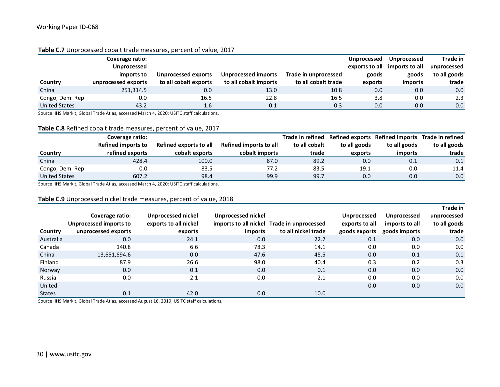|                      | Coverage ratio:     |                       |                       |                      | <b>Unprocessed</b> | Unprocessed                   | Trade in     |
|----------------------|---------------------|-----------------------|-----------------------|----------------------|--------------------|-------------------------------|--------------|
|                      | Unprocessed         |                       |                       |                      |                    | exports to all imports to all | unprocessed  |
|                      | imports to          | Unprocessed exports   | Unprocessed imports   | Trade in unprocessed | goods              | goods                         | to all goods |
| Country              | unprocessed exports | to all cobalt exports | to all cobalt imports | to all cobalt trade  | exports            | <i>imports</i>                | trade        |
| China                | 251,314.5           | 0.0                   | 13.0                  | 10.8                 | 0.0                | 0.0                           | 0.0          |
| Congo, Dem. Rep.     | 0.0                 | 16.5                  | 22.8                  | 16.5                 | 3.8                | 0.0                           | 2.3          |
| <b>United States</b> | 43.2                | 1.6                   | 0.1                   | 0.3                  | 0.0                | 0.0                           | 0.0          |

#### **Table C.7** Unprocessed cobalt trade measures, percent of value, 2017

Source: IHS Markit, Global Trade Atlas, accessed March 4, 2020; USITC staff calculations.

#### **Table C.8** Refined cobalt trade measures, percent of value, 2017

|                      | Coverage ratio:           |                        |                        | Trade in refined |              |              | Refined exports Refined imports Trade in refined |
|----------------------|---------------------------|------------------------|------------------------|------------------|--------------|--------------|--------------------------------------------------|
|                      | <b>Refined imports to</b> | Refined exports to all | Refined imports to all | to all cobalt    | to all goods | to all goods | to all goods                                     |
| Country              | refined exports           | cobalt exports         | cobalt imports         | trade            | exports      | imports      | trade                                            |
| China                | 428.4                     | 100.0                  | 87.0                   | 89.2             | 0.0          | 0.1          | 0.1                                              |
| Congo, Dem. Rep.     | 0.0                       | 83.5                   | 77.2                   | 83.5             | 19.1         | 0.0          | 11.4                                             |
| <b>United States</b> | 607.2                     | 98.4                   | 99.9                   | 99.7             | 0.0          | 0.0          | 0.0                                              |

Source: IHS Markit, Global Trade Atlas, accessed March 4, 2020; USITC staff calculations.

#### **Table C.9** Unprocessed nickel trade measures, percent of value, 2018

|               |                        |                       |                    |                                            |                    |                | Trade in     |
|---------------|------------------------|-----------------------|--------------------|--------------------------------------------|--------------------|----------------|--------------|
|               | Coverage ratio:        | Unprocessed nickel    | Unprocessed nickel |                                            | <b>Unprocessed</b> | Unprocessed    | unprocessed  |
|               | Unprocessed imports to | exports to all nickel |                    | imports to all nickel Trade in unprocessed | exports to all     | imports to all | to all goods |
| Country       | unprocessed exports    | exports               | imports            | to all nickel trade                        | goods exports      | goods imports  | trade        |
| Australia     | 0.0                    | 24.1                  | 0.0                | 22.7                                       | 0.1                | 0.0            | 0.0          |
| Canada        | 140.8                  | 6.6                   | 78.3               | 14.1                                       | 0.0                | 0.0            | 0.0          |
| China         | 13,651,694.6           | 0.0                   | 47.6               | 45.5                                       | 0.0                | 0.1            | 0.1          |
| Finland       | 87.9                   | 26.6                  | 98.0               | 40.4                                       | 0.3                | 0.2            | 0.3          |
| Norway        | 0.0                    | 0.1                   | 0.0                | 0.1                                        | 0.0                | 0.0            | 0.0          |
| Russia        | 0.0                    | 2.1                   | 0.0                | 2.1                                        | 0.0                | 0.0            | 0.0          |
| United        |                        |                       |                    |                                            | 0.0                | 0.0            | 0.0          |
| <b>States</b> | 0.1                    | 42.0                  | 0.0                | 10.0                                       |                    |                |              |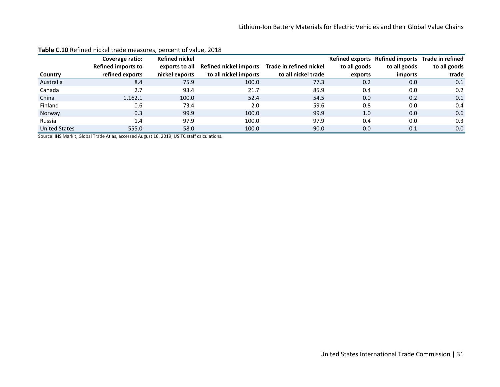|                      | Coverage ratio:           | <b>Refined nickel</b> |                        |                         |              | Refined exports Refined imports Trade in refined |              |
|----------------------|---------------------------|-----------------------|------------------------|-------------------------|--------------|--------------------------------------------------|--------------|
|                      | <b>Refined imports to</b> | exports to all        | Refined nickel imports | Trade in refined nickel | to all goods | to all goods                                     | to all goods |
| Country              | refined exports           | nickel exports        | to all nickel imports  | to all nickel trade     | exports      | imports                                          | trade        |
| Australia            | 8.4                       | 75.9                  | 100.0                  | 77.3                    | 0.2          | 0.0                                              | 0.1          |
| Canada               | 2.7                       | 93.4                  | 21.7                   | 85.9                    | 0.4          | 0.0                                              | 0.2          |
| China                | 1,162.1                   | 100.0                 | 52.4                   | 54.5                    | 0.0          | 0.2                                              | 0.1          |
| Finland              | 0.6                       | 73.4                  | 2.0                    | 59.6                    | 0.8          | 0.0                                              | 0.4          |
| Norway               | 0.3                       | 99.9                  | 100.0                  | 99.9                    | 1.0          | 0.0                                              | 0.6          |
| Russia               | 1.4                       | 97.9                  | 100.0                  | 97.9                    | 0.4          | 0.0                                              | 0.3          |
| <b>United States</b> | 555.0                     | 58.0                  | 100.0                  | 90.0                    | 0.0          | 0.1                                              | 0.0          |

#### **Table C.10** Refined nickel trade measures, percent of value, 2018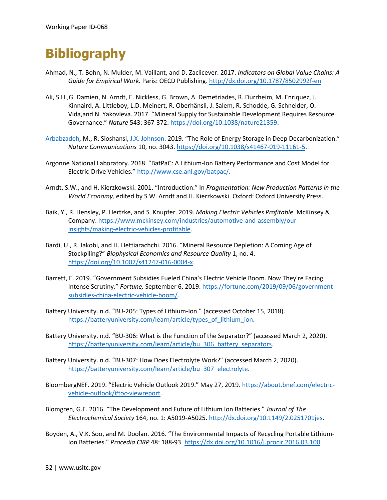### **Bibliography**

- Ahmad, N., T. Bohn, N. Mulder, M. Vaillant, and D. Zaclicever. 2017. *Indicators on Global Value Chains: A Guide for Empirical Work.* Paris: OECD Publishing. [http://dx.doi.org/10.1787/8502992f-en.](http://dx.doi.org/10.1787/8502992f-en)
- Ali[, S.H.,G](https://www.nature.com/articles/nature21359). Damien, [N. Arndt, E. Nickless, G. Brown, A. Demetriades, R. Durrheim, M. Enriquez, J.](https://www.nature.com/articles/nature21359)  [Kinnaird, A. Littleboy, L.D. Meinert, R. Oberhänsli, J. Salem, R. Schodde, G. Schneider, O.](https://www.nature.com/articles/nature21359)  [Vida,a](https://www.nature.com/articles/nature21359)nd [N. Yakovleva.](https://www.nature.com/articles/nature21359) 2017. "Mineral Supply for Sustainable Development Requires Resource Governance." *Nature* 543: 367-372[. https://doi.org/10.1038/nature21359.](https://doi.org/10.1038/nature21359)
- [Arbabzadeh,](https://pubs.acs.org/author/Arbabzadeh%2C+Maryam) M., R. Sioshansi, [J.X. Johnson.](https://pubs.acs.org/author/Johnson%2C+Jeremiah+X) 2019. "The Role of Energy Storage in Deep Decarbonization." *Nature Communications* 10, no. 3043. https://doi.org/10.1038/s41467-019-11161-5.
- Argonne National Laboratory. 2018. "BatPaC: A Lithium-Ion Battery Performance and Cost Model for Electric-Drive Vehicles." [http://www.cse.anl.gov/batpac/.](http://www.cse.anl.gov/batpac/)
- Arndt, S.W., and H. Kierzkowski. 2001. "Introduction." In *Fragmentation: New Production Patterns in the World Economy,* edited by S.W. Arndt and H. Kierzkowski. Oxford: Oxford University Press.
- Baik, Y., R. Hensley, P. Hertzke, and S. Knupfer. 2019. *Making Electric Vehicles Profitable*. McKinsey & Company[. https://www.mckinsey.com/industries/automotive-and-assembly/our](https://www.mckinsey.com/industries/automotive-and-assembly/our-insights/making-electric-vehicles-profitable)[insights/making-electric-vehicles-profitable.](https://www.mckinsey.com/industries/automotive-and-assembly/our-insights/making-electric-vehicles-profitable)
- Bardi, U., R. Jakobi, and H. Hettiarachchi. 2016. "Mineral Resource Depletion: A Coming Age of Stockpiling?" *Biophysical Economics and Resource Quality* 1, no. 4. [https://doi.org/10.1007/s41247-016-0004-x.](https://doi.org/10.1007/s41247-016-0004-x)
- Barrett, E. 2019. "Government Subsidies Fueled China's Electric Vehicle Boom. Now They're Facing Intense Scrutiny." *Fortune,* September 6, 2019. [https://fortune.com/2019/09/06/government](https://fortune.com/2019/09/06/government-subsidies-china-electric-vehicle-boom/)[subsidies-china-electric-vehicle-boom/.](https://fortune.com/2019/09/06/government-subsidies-china-electric-vehicle-boom/)
- Battery University. n.d. "BU-205: Types of Lithium-Ion." (accessed October 15, 2018). [https://batteryuniversity.com/learn/article/types\\_of\\_lithium\\_ion.](https://batteryuniversity.com/learn/article/types_of_lithium_ion)
- Battery University. n.d. "BU-306: What is the Function of the Separator?" (accessed March 2, 2020). [https://batteryuniversity.com/learn/article/bu\\_306\\_battery\\_separators.](https://batteryuniversity.com/learn/article/bu_306_battery_separators)
- Battery University. n.d. "BU-307: How Does Electrolyte Work?" (accessed March 2, 2020). [https://batteryuniversity.com/learn/article/bu\\_307\\_electrolyte.](https://batteryuniversity.com/learn/article/bu_307_electrolyte)
- BloombergNEF. 2019. "Electric Vehicle Outlook 2019." May 27, 2019. [https://about.bnef.com/electric](https://about.bnef.com/electric-vehicle-outlook/)[vehicle-outlook/#toc-viewreport.](https://about.bnef.com/electric-vehicle-outlook/)
- Blomgren, G.E. 2016. "The Development and Future of Lithium Ion Batteries." *Journal of The Electrochemical Society* 164, no. 1: A5019-A5025. http://dx.doi.org/10.1149/2.0251701jes.
- Boyden, A., V.K. Soo, and M. Doolan. 2016. "The Environmental Impacts of Recycling Portable Lithium-Ion Batteries." *Procedia CIRP* 48: 188-93. https://dx.doi.org/10.1016/j.procir.2016.03.100.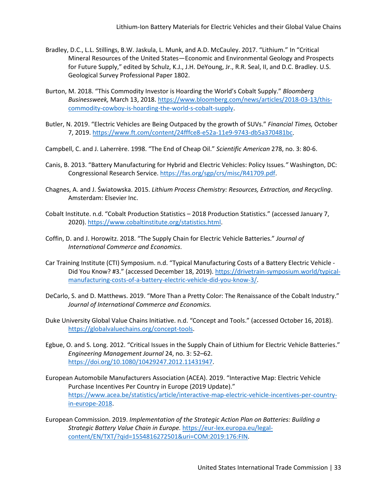- Bradley, D.C., L.L. Stillings, B.W. Jaskula, L. Munk, and A.D. McCauley. 2017. "Lithium." In "Critical Mineral Resources of the United States—Economic and Environmental Geology and Prospects for Future Supply," edited by Schulz, K.J., J.H. DeYoung, Jr., R.R. Seal, II, and D.C. Bradley. U.S. Geological Survey Professional Paper 1802.
- Burton, M. 2018. "This Commodity Investor is Hoarding the World's Cobalt Supply." *Bloomberg Businessweek,* March 13, 2018. [https://www.bloomberg.com/news/articles/2018-03-13/this](https://www.bloomberg.com/news/articles/2018-03-13/this-commodity-cowboy-is-hoarding-the-world-s-cobalt-supply)[commodity-cowboy-is-hoarding-the-world-s-cobalt-supply.](https://www.bloomberg.com/news/articles/2018-03-13/this-commodity-cowboy-is-hoarding-the-world-s-cobalt-supply)
- Butler, N. 2019. "Electric Vehicles are Being Outpaced by the growth of SUVs." *Financial Times,* October 7, 2019[. https://www.ft.com/content/24fffce8-e52a-11e9-9743-db5a370481bc.](https://www.ft.com/content/24fffce8-e52a-11e9-9743-db5a370481bc)
- Campbell, C. and J. Laherrère. 1998. "The End of Cheap Oil." *Scientific American* 278, no. 3: 80-6.
- Canis, B. 2013. "Battery Manufacturing for Hybrid and Electric Vehicles: Policy Issues*."* Washington, DC: Congressional Research Service[. https://fas.org/sgp/crs/misc/R41709.pdf.](https://fas.org/sgp/crs/misc/R41709.pdf)
- Chagnes, A. and J. Światowska. 2015. *Lithium Process Chemistry: Resources, Extraction, and Recycling*. Amsterdam: Elsevier Inc.
- Cobalt Institute. n.d. "Cobalt Production Statistics 2018 Production Statistics." (accessed January 7, 2020). [https://www.cobaltinstitute.org/statistics.html.](https://www.cobaltinstitute.org/statistics.html)
- Coffin, D. and J. Horowitz. 2018. "The Supply Chain for Electric Vehicle Batteries." *Journal of International Commerce and Economics*.
- Car Training Institute (CTI) Symposium. n.d. "Typical Manufacturing Costs of a Battery Electric Vehicle Did You Know? #3." (accessed December 18, 2019)[. https://drivetrain-symposium.world/typical](https://drivetrain-symposium.world/typical-manufacturing-costs-of-a-battery-electric-vehicle-did-you-know-3/)[manufacturing-costs-of-a-battery-electric-vehicle-did-you-know-3/.](https://drivetrain-symposium.world/typical-manufacturing-costs-of-a-battery-electric-vehicle-did-you-know-3/)
- DeCarlo, S. and D. Matthews. 2019. "More Than a Pretty Color: The Renaissance of the Cobalt Industry." *Journal of International Commerce and Economics.*
- Duke University Global Value Chains Initiative. n.d. "Concept and Tools." (accessed October 16, 2018). [https://globalvaluechains.org/concept-tools.](https://globalvaluechains.org/concept-tools)
- Egbue, O. and S. Long. 2012. "Critical Issues in the Supply Chain of Lithium for Electric Vehicle Batteries." *Engineering Management Journal* 24, no. 3: 52–62. [https://doi.org/10.1080/10429247.2012.11431947.](https://doi.org/10.1080/10429247.2012.11431947)
- European Automobile Manufacturers Association (ACEA). 2019. "Interactive Map: Electric Vehicle Purchase Incentives Per Country in Europe (2019 Update)." [https://www.acea.be/statistics/article/interactive-map-electric-vehicle-incentives-per-country](https://www.acea.be/statistics/article/interactive-map-electric-vehicle-incentives-per-country-in-europe-2018)[in-europe-2018.](https://www.acea.be/statistics/article/interactive-map-electric-vehicle-incentives-per-country-in-europe-2018)
- European Commission. 2019. *Implementation of the Strategic Action Plan on Batteries: Building a Strategic Battery Value Chain in Europe.* [https://eur-lex.europa.eu/legal](https://eur-lex.europa.eu/legal-content/EN/TXT/?qid=1554816272501&uri=COM:2019:176:FIN)[content/EN/TXT/?qid=1554816272501&uri=COM:2019:176:FIN.](https://eur-lex.europa.eu/legal-content/EN/TXT/?qid=1554816272501&uri=COM:2019:176:FIN)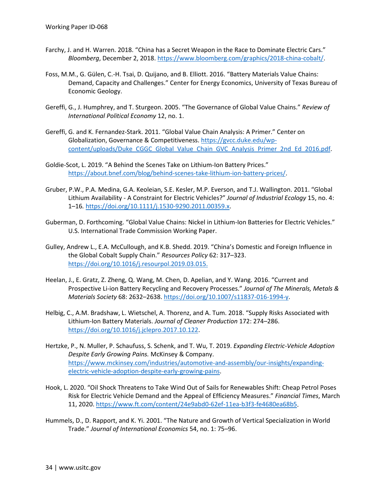- Farchy, J. and H. Warren. 2018. "China has a Secret Weapon in the Race to Dominate Electric Cars." *Bloomberg*, December 2, 2018. [https://www.bloomberg.com/graphics/2018-china-cobalt/.](https://www.bloomberg.com/graphics/2018-china-cobalt/)
- Foss, M.M., G. Gülen, C.-H. Tsai, D. Quijano, and B. Elliott. 2016. "Battery Materials Value Chains: Demand, Capacity and Challenges." Center for Energy Economics, University of Texas Bureau of Economic Geology.
- Gereffi, G., J. Humphrey, and T. Sturgeon. 2005. "The Governance of Global Value Chains." *Review of International Political Economy* 12, no. 1.
- Gereffi, G. and K. Fernandez-Stark. 2011. "Global Value Chain Analysis: A Primer." Center on Globalization, Governance & Competitiveness. [https://gvcc.duke.edu/wp](https://gvcc.duke.edu/wp-content/uploads/Duke_CGGC_Global_Value_Chain_GVC_Analysis_Primer_2nd_Ed_2016.pdf)[content/uploads/Duke\\_CGGC\\_Global\\_Value\\_Chain\\_GVC\\_Analysis\\_Primer\\_2nd\\_Ed\\_2016.pdf.](https://gvcc.duke.edu/wp-content/uploads/Duke_CGGC_Global_Value_Chain_GVC_Analysis_Primer_2nd_Ed_2016.pdf)
- Goldie-Scot, L. 2019. "A Behind the Scenes Take on Lithium-Ion Battery Prices." [https://about.bnef.com/blog/behind-scenes-take-lithium-ion-battery-prices/.](https://about.bnef.com/blog/behind-scenes-take-lithium-ion-battery-prices/)
- Gruber, P.W., P.A. Medina, G.A. Keoleian, S.E. Kesler, M.P. Everson, and T.J. Wallington. 2011. "Global Lithium Availability - A Constraint for Electric Vehicles?" *Journal of Industrial Ecology* 15, no. 4: 1–16*.* https://doi.org/10.1111/j.1530-9290.2011.00359.x.
- Guberman, D. Forthcoming. "Global Value Chains: Nickel in Lithium-Ion Batteries for Electric Vehicles." U.S. International Trade Commission Working Paper.
- Gulley, Andrew L., E.A. McCullough, and K.B. Shedd. 2019. "China's Domestic and Foreign Influence in the Global Cobalt Supply Chain." *Resources Policy* 62: 317–323. [https://doi.org/10.1016/j.resourpol.2019.03.015.](https://doi.org/10.1016/j.resourpol.2019.03.015)
- Heelan, J., E. Gratz, Z. Zheng, Q. Wang, M. Chen, D. Apelian, and Y. Wang. 2016. "Current and Prospective Li-ion Battery Recycling and Recovery Processes." *Journal of The Minerals, Metals & Materials Society* 68: 2632–2638. https://doi.org/10.1007/s11837-016-1994-y.
- Helbig, C., A.M. Bradshaw, L. Wietschel, A. Thorenz, and A. Tum. 2018. "Supply Risks Associated with Lithium-Ion Battery Materials. *Journal of Cleaner Production* 172: 274–286. [https://doi.org/10.1016/j.jclepro.2017.10.122.](https://doi.org/10.1016/j.jclepro.2017.10.122)
- Hertzke, P., N. Muller, P. Schaufuss, S. Schenk, and T. Wu, T. 2019. *Expanding Electric-Vehicle Adoption Despite Early Growing Pains.* McKinsey & Company. [https://www.mckinsey.com/industries/automotive-and-assembly/our-insights/expanding](https://www.mckinsey.com/industries/automotive-and-assembly/our-insights/expanding-electric-vehicle-adoption-despite-early-growing-pains)[electric-vehicle-adoption-despite-early-growing-pains.](https://www.mckinsey.com/industries/automotive-and-assembly/our-insights/expanding-electric-vehicle-adoption-despite-early-growing-pains)
- Hook, L. 2020. "Oil Shock Threatens to Take Wind Out of Sails for Renewables Shift: Cheap Petrol Poses Risk for Electric Vehicle Demand and the Appeal of Efficiency Measures." *Financial Times*, March 11, 2020. [https://www.ft.com/content/24e9abd0-62ef-11ea-b3f3-fe4680ea68b5.](https://www.ft.com/content/24e9abd0-62ef-11ea-b3f3-fe4680ea68b5)
- Hummels, D., D. Rapport, and K. Yi. 2001. "The Nature and Growth of Vertical Specialization in World Trade." *Journal of International Economics* 54, no. 1: 75–96.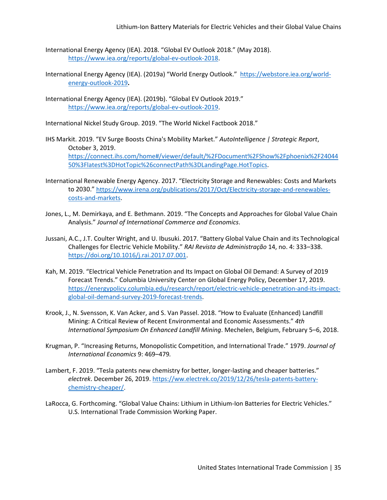- International Energy Agency (IEA). 2018. "Global EV Outlook 2018." (May 2018). [https://www.iea.org/reports/global-ev-outlook-2018.](https://www.iea.org/reports/global-ev-outlook-2018)
- International Energy Agency (IEA). (2019a) "World Energy Outlook." [https://webstore.iea.org/world](https://webstore.iea.org/world-energy-outlook-2019)[energy-outlook-2019](https://webstore.iea.org/world-energy-outlook-2019)**.**
- International Energy Agency (IEA). (2019b). "Global EV Outlook 2019." [https://www.iea.org/reports/global-ev-outlook-2019.](https://www.iea.org/reports/global-ev-outlook-2019)

International Nickel Study Group. 2019. "The World Nickel Factbook 2018."

- IHS Markit. 2019. "EV Surge Boosts China's Mobility Market." *AutoIntelligence | Strategic Report*, October 3, 2019. [https://connect.ihs.com/home#/viewer/default/%2FDocument%2FShow%2Fphoenix%2F24044](https://connect.ihs.com/home) [50%3Flatest%3DHotTopic%26connectPath%3DLandingPage.HotTopics.](https://connect.ihs.com/home)
- International Renewable Energy Agency. 2017. "Electricity Storage and Renewables: Costs and Markets to 2030." [https://www.irena.org/publications/2017/Oct/Electricity-storage-and-renewables](https://www.irena.org/publications/2017/Oct/Electricity-storage-and-renewables-costs-and-markets)[costs-and-markets.](https://www.irena.org/publications/2017/Oct/Electricity-storage-and-renewables-costs-and-markets)
- Jones, L., M. Demirkaya, and E. Bethmann. 2019. "The Concepts and Approaches for Global Value Chain Analysis." *Journal of International Commerce and Economics*.
- Jussani, A.C., J.T. Coulter Wright, and U. Ibusuki. 2017. "Battery Global Value Chain and its Technological Challenges for Electric Vehicle Mobility." *RAI Revista de Administração* 14, no. 4: 333–338. [https://doi.org/10.1016/j.rai.2017.07.001.](https://doi.org/10.1016/j.rai.2017.07.001)
- Kah, M. 2019. "Electrical Vehicle Penetration and Its Impact on Global Oil Demand: A Survey of 2019 Forecast Trends." Columbia University Center on Global Energy Policy, December 17, 2019. [https://energypolicy.columbia.edu/research/report/electric-vehicle-penetration-and-its-impact](https://energypolicy.columbia.edu/research/report/electric-vehicle-penetration-and-its-impact-global-oil-demand-survey-2019-forecast-trends)[global-oil-demand-survey-2019-forecast-trends.](https://energypolicy.columbia.edu/research/report/electric-vehicle-penetration-and-its-impact-global-oil-demand-survey-2019-forecast-trends)
- Krook, J., N. Svensson, K. Van Acker, and S. Van Passel. 2018. "How to Evaluate (Enhanced) Landfill Mining: A Critical Review of Recent Environmental and Economic Assessments." *4th International Symposium On Enhanced Landfill Mining*. Mechelen, Belgium, February 5–6, 2018.
- Krugman, P. "Increasing Returns, Monopolistic Competition, and International Trade." 1979. *Journal of International Economics* 9: 469–479*.*
- Lambert, F. 2019. "Tesla patents new chemistry for better, longer-lasting and cheaper batteries." *electrek*. December 26, 2019. [https://ww.electrek.co/2019/12/26/tesla-patents-battery](https://ww.electrek.co/2019/12/26/tesla-patents-battery-chemistry-cheaper/)[chemistry-cheaper/.](https://ww.electrek.co/2019/12/26/tesla-patents-battery-chemistry-cheaper/)
- LaRocca, G. Forthcoming. "Global Value Chains: Lithium in Lithium-Ion Batteries for Electric Vehicles." U.S. International Trade Commission Working Paper.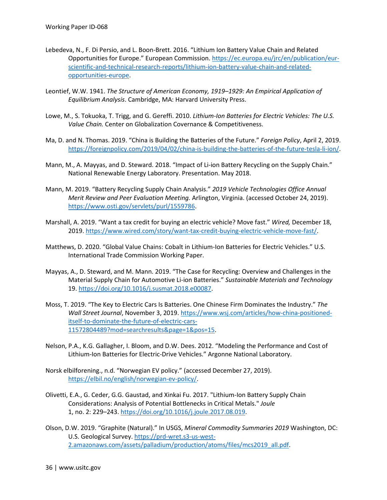- Lebedeva, N., F. Di Persio, and L. Boon-Brett. 2016. "Lithium Ion Battery Value Chain and Related Opportunities for Europe." European Commission[. https://ec.europa.eu/jrc/en/publication/eur](https://ec.europa.eu/jrc/en/publication/eur-scientific-and-technical-research-reports/lithium-ion-battery-value-chain-and-related-opportunities-europe)[scientific-and-technical-research-reports/lithium-ion-battery-value-chain-and-related](https://ec.europa.eu/jrc/en/publication/eur-scientific-and-technical-research-reports/lithium-ion-battery-value-chain-and-related-opportunities-europe)[opportunities-europe.](https://ec.europa.eu/jrc/en/publication/eur-scientific-and-technical-research-reports/lithium-ion-battery-value-chain-and-related-opportunities-europe)
- Leontief, W.W. 1941. *The Structure of American Economy, 1919–1929: An Empirical Application of Equilibrium Analysis*. Cambridge, MA: Harvard University Press.
- Lowe, M., S. Tokuoka, T. Trigg, and G. Gereffi. 2010. *Lithium-Ion Batteries for Electric Vehicles: The U.S. Value Chain.* Center on Globalization Covernance & Competitiveness.
- Ma, D. and N. Thomas. 2019. "China is Building the Batteries of the Future." *Foreign Policy*, April 2, 2019. [https://foreignpolicy.com/2019/04/02/china-is-building-the-batteries-of-the-future-tesla-li-ion/.](https://foreignpolicy.com/2019/04/02/china-is-building-the-batteries-of-the-future-tesla-li-ion/)
- Mann, M., A. Mayyas, and D. Steward. 2018. "Impact of Li-ion Battery Recycling on the Supply Chain." National Renewable Energy Laboratory. Presentation. May 2018.
- Mann, M. 2019. "Battery Recycling Supply Chain Analysis." *2019 Vehicle Technologies Office Annual Merit Review and Peer Evaluation Meeting.* Arlington, Virginia. (accessed October 24, 2019). [https://www.osti.gov/servlets/purl/1559786.](https://www.osti.gov/servlets/purl/1559786)
- Marshall, A. 2019. "Want a tax credit for buying an electric vehicle? Move fast." *Wired,* December 18, 2019[. https://www.wired.com/story/want-tax-credit-buying-electric-vehicle-move-fast/.](https://www.wired.com/story/want-tax-credit-buying-electric-vehicle-move-fast/)
- Matthews, D. 2020. "Global Value Chains: Cobalt in Lithium-Ion Batteries for Electric Vehicles." U.S. International Trade Commission Working Paper.
- Mayyas, A., D. Steward, and M. Mann. 2019. "The Case for Recycling: Overview and Challenges in the Material Supply Chain for Automotive Li-ion Batteries." *Sustainable Materials and Technology*  19[. https://doi.org/10.1016/j.susmat.2018.e00087.](https://doi.org/10.1016/j.susmat.2018.e00087)
- Moss, T. 2019. "The Key to Electric Cars Is Batteries. One Chinese Firm Dominates the Industry." *The Wall Street Journal*, November 3, 2019. [https://www.wsj.com/articles/how-china-positioned](https://www.wsj.com/articles/how-china-positioned-itself-to-dominate-the-future-of-electric-cars-11572804489?mod=searchresults&page=1&pos=15)[itself-to-dominate-the-future-of-electric-cars-](https://www.wsj.com/articles/how-china-positioned-itself-to-dominate-the-future-of-electric-cars-11572804489?mod=searchresults&page=1&pos=15)[11572804489?mod=searchresults&page=1&pos=15.](https://www.wsj.com/articles/how-china-positioned-itself-to-dominate-the-future-of-electric-cars-11572804489?mod=searchresults&page=1&pos=15)
- Nelson, P.A., K.G. Gallagher, I. Bloom, and D.W. Dees. 2012. "Modeling the Performance and Cost of Lithium-Ion Batteries for Electric-Drive Vehicles." Argonne National Laboratory.
- Norsk elbilforening., n.d. "Norwegian EV policy." (accessed December 27, 2019). [https://elbil.no/english/norwegian-ev-policy/.](https://elbil.no/english/norwegian-ev-policy/)
- Olivetti, E.A., G. Ceder, G.G. Gaustad, and Xinkai Fu. 2017. "Lithium-Ion Battery Supply Chain Considerations: Analysis of Potential Bottlenecks in Critical Metals." *Joule*  1, no. 2: 229–243. https://doi.org/10.1016/j.joule.2017.08.019.
- Olson, D.W. 2019. "Graphite (Natural)." In USGS, *Mineral Commodity Summaries 2019* Washington, DC: U.S. Geological Survey[. https://prd-wret.s3-us-west-](https://prd-wret.s3-us-west-2.amazonaws.com/assets/palladium/production/atoms/files/mcs2019_all.pdf)[2.amazonaws.com/assets/palladium/production/atoms/files/mcs2019\\_all.pdf.](https://prd-wret.s3-us-west-2.amazonaws.com/assets/palladium/production/atoms/files/mcs2019_all.pdf)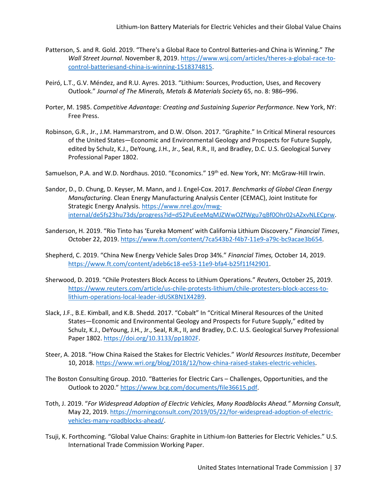- Patterson, S. and R. Gold. 2019. "There's a Global Race to Control Batteries-and China is Winning." *The Wall Street Journal*. November 8, 2019. [https://www.wsj.com/articles/theres-a-global-race-to](https://www.wsj.com/articles/theres-a-global-race-to-control-batteriesand-china-is-winning-1518374815)[control-batteriesand-china-is-winning-1518374815.](https://www.wsj.com/articles/theres-a-global-race-to-control-batteriesand-china-is-winning-1518374815)
- Peiró, L.T., G.V. Méndez, and R.U. Ayres. 2013. "Lithium: Sources, Production, Uses, and Recovery Outlook." *Journal of The Minerals, Metals & Materials Society* 65, no. 8: 986–996.
- Porter, M. 1985. *Competitive Advantage: Creating and Sustaining Superior Performance*. New York, NY: Free Press.
- Robinson, G.R., Jr., J.M. Hammarstrom, and D.W. Olson. 2017. "Graphite." In Critical Mineral resources of the United States—Economic and Environmental Geology and Prospects for Future Supply, edited by Schulz, K.J., DeYoung, J.H., Jr., Seal, R.R., II, and Bradley, D.C. U.S. Geological Survey Professional Paper 1802.
- Samuelson, P.A. and W.D. Nordhaus. 2010. "Economics." 19<sup>th</sup> ed. New York, NY: McGraw-Hill Irwin.
- Sandor, D., D. Chung, D. Keyser, M. Mann, and J. Engel-Cox. 2017. *Benchmarks of Global Clean Energy Manufacturing.* Clean Energy Manufacturing Analysis Center (CEMAC), Joint Institute for Strategic Energy Analysis. [https://www.nrel.gov/mwg](https://www.nrel.gov/mwg-internal/de5fs23hu73ds/progress?id=d52PuEeeMqMJZWwOZfWgu7qBf0Ohr02sAZxvNLECprw)[internal/de5fs23hu73ds/progress?id=d52PuEeeMqMJZWwOZfWgu7qBf0Ohr02sAZxvNLECprw.](https://www.nrel.gov/mwg-internal/de5fs23hu73ds/progress?id=d52PuEeeMqMJZWwOZfWgu7qBf0Ohr02sAZxvNLECprw)
- Sanderson, H. 2019. "Rio Tinto has 'Eureka Moment' with California Lithium Discovery." *Financial Times*, October 22, 2019. [https://www.ft.com/content/7ca543b2-f4b7-11e9-a79c-bc9acae3b654.](https://www.ft.com/content/7ca543b2-f4b7-11e9-a79c-bc9acae3b654)
- Shepherd, C. 2019. "China New Energy Vehicle Sales Drop 34%." *Financial Times,* October 14, 2019. [https://www.ft.com/content/adeb6c18-ee53-11e9-bfa4-b25f11f42901.](https://www.ft.com/content/adeb6c18-ee53-11e9-bfa4-b25f11f42901)
- Sherwood, D. 2019. "Chile Protesters Block Access to Lithium Operations." *Reuters*, October 25, 2019. [https://www.reuters.com/article/us-chile-protests-lithium/chile-protesters-block-access-to](https://www.reuters.com/article/us-chile-protests-lithium/chile-protesters-block-access-to-lithium-operations-local-leader-idUSKBN1X42B9)[lithium-operations-local-leader-idUSKBN1X42B9.](https://www.reuters.com/article/us-chile-protests-lithium/chile-protesters-block-access-to-lithium-operations-local-leader-idUSKBN1X42B9)
- Slack, J.F., B.E. Kimball, and K.B. Shedd. 2017. "Cobalt" In "Critical Mineral Resources of the United States—Economic and Environmental Geology and Prospects for Future Supply," edited by Schulz, K.J., DeYoung, J.H., Jr., Seal, R.R., II, and Bradley, D.C. U.S. Geological Survey Professional Paper 1802. [https://doi.org/10.3133/pp1802F.](https://doi.org/10.3133/pp1802F)
- Steer, A. 2018. "How China Raised the Stakes for Electric Vehicles." *World Resources Institute*, December 10, 2018. [https://www.wri.org/blog/2018/12/how-china-raised-stakes-electric-vehicles.](https://www.wri.org/blog/2018/12/how-china-raised-stakes-electric-vehicles)
- The Boston Consulting Group. 2010. "Batteries for Electric Cars Challenges, Opportunities, and the Outlook to 2020.[" https://www.bcg.com/documents/file36615.pdf.](https://www.bcg.com/documents/file36615.pdf)
- Toth, J. 2019. "*For Widespread Adoption of Electric Vehicles, Many Roadblocks Ahead." Morning Consult*, May 22, 2019. [https://morningconsult.com/2019/05/22/for-widespread-adoption-of-electric](https://morningconsult.com/2019/05/22/for-widespread-adoption-of-electric-vehicles-many-roadblocks-ahead/)[vehicles-many-roadblocks-ahead/.](https://morningconsult.com/2019/05/22/for-widespread-adoption-of-electric-vehicles-many-roadblocks-ahead/)
- Tsuji, K. Forthcoming. "Global Value Chains: Graphite in Lithium-Ion Batteries for Electric Vehicles." U.S. International Trade Commission Working Paper.